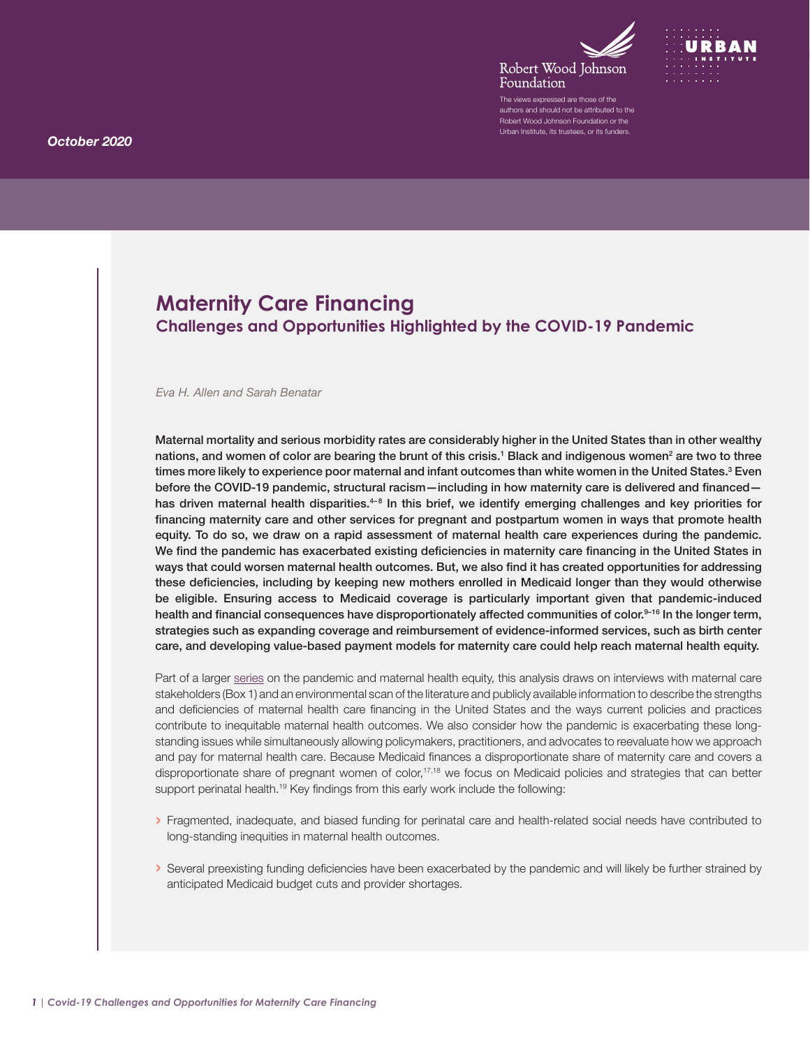



The views expressed are those of the authors and should not be attributed to the Robert Wood Johnson Foundation or the Urban Institute, its trustees, or its funders.

# <span id="page-0-0"></span>**Maternity Care Financing Challenges and Opportunities Highlighted by the COVID-19 Pandemic**

#### *Eva H. Allen and Sarah Benatar*

Maternal mortality and serious morbidity rates are considerably higher in the United States than in other wealthy nations, and women of color are bearing the brunt of this crisis.<sup>1</sup> Black and indigenous women<sup>[2](#page-7-0)</sup> are two to three times more likely to experience poor maternal and infant outcomes than white women in the United States.<sup>[3](#page-7-0)</sup> Even before the COVID-19 pandemic, structural racism—including in how maternity care is delivered and financed— has driven maternal health disparities.<sup>4-[8](#page-7-0)</sup> In this brief, we identify emerging challenges and key priorities for financing maternity care and other services for pregnant and postpartum women in ways that promote health equity. To do so, we draw on a rapid assessment of maternal health care experiences during the pandemic. We find the pandemic has exacerbated existing deficiencies in maternity care financing in the United States in ways that could worsen maternal health outcomes. But, we also find it has created opportunities for addressing these deficiencies, including by keeping new mothers enrolled in Medicaid longer than they would otherwise be eligible. Ensuring access to Medicaid coverage is particularly important given that pandemic-induced health and financial consequences have disproportionately affected communities of color.<sup>9–16</sup> In the longer term, strategies such as expanding coverage and reimbursement of evidence-informed services, such as birth center care, and developing value-based payment models for maternity care could help reach maternal health equity.

Part of a larger [series](https://www.rwjf.org/en/library/research/2020/10/maternal-health-inequity-during-the-covid-19-pandemic.html) on the pandemic and maternal health equity, this analysis draws on interviews with maternal care stakeholders (Box 1) and an environmental scan of the literature and publicly available information to describe the strengths and deficiencies of maternal health care financing in the United States and the ways current policies and practices contribute to inequitable maternal health outcomes. We also consider how the pandemic is exacerbating these longstanding issues while simultaneously allowing policymakers, practitioners, and advocates to reevaluate how we approach and pay for maternal health care. Because Medicaid finances a disproportionate share of maternity care and covers a disproportionate share of pregnant women of color,<sup>17,18</sup> we focus on Medicaid policies and strategies that can better support perinatal health.<sup>19</sup> Key findings from this early work include the following:

- › Fragmented, inadequate, and biased funding for perinatal care and health-related social needs have contributed to long-standing inequities in maternal health outcomes.
- › Several preexisting funding deficiencies have been exacerbated by the pandemic and will likely be further strained by anticipated Medicaid budget cuts and provider shortages.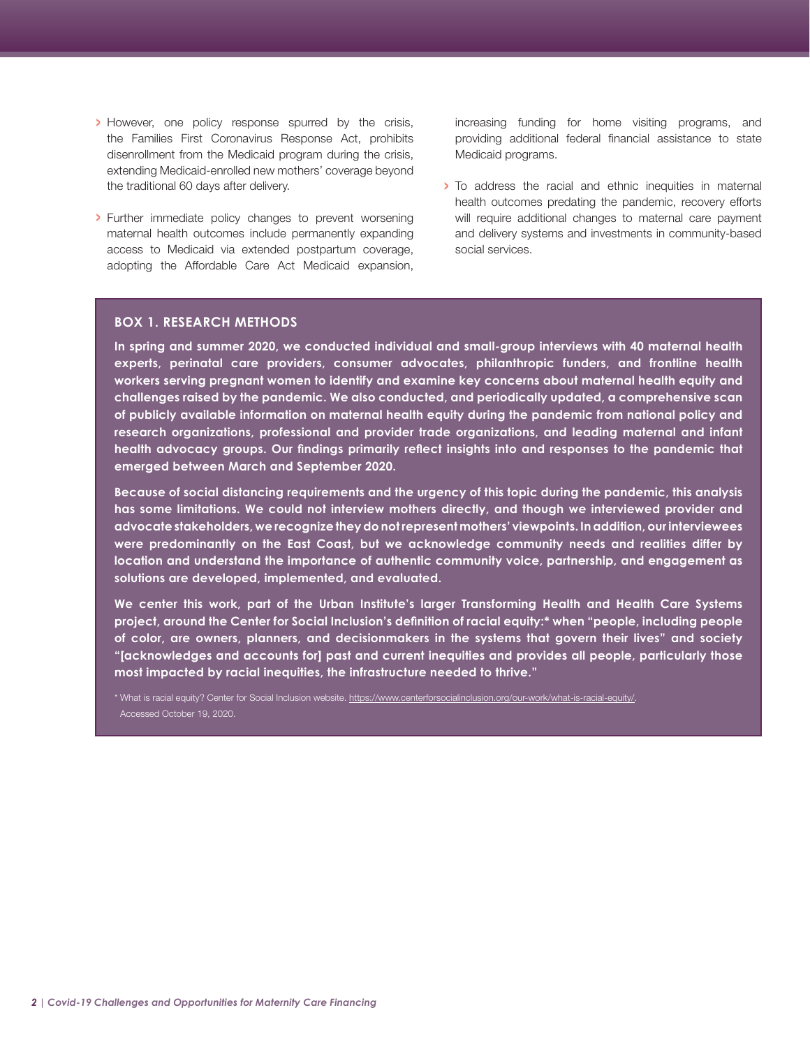- › However, one policy response spurred by the crisis, the Families First Coronavirus Response Act, prohibits disenrollment from the Medicaid program during the crisis, extending Medicaid-enrolled new mothers' coverage beyond the traditional 60 days after delivery.
- › Further immediate policy changes to prevent worsening maternal health outcomes include permanently expanding access to Medicaid via extended postpartum coverage, adopting the Affordable Care Act Medicaid expansion,

increasing funding for home visiting programs, and providing additional federal financial assistance to state Medicaid programs.

› To address the racial and ethnic inequities in maternal health outcomes predating the pandemic, recovery efforts will require additional changes to maternal care payment and delivery systems and investments in community-based social services.

#### **BOX 1. RESEARCH METHODS**

**In spring and summer 2020, we conducted individual and small-group interviews with 40 maternal health experts, perinatal care providers, consumer advocates, philanthropic funders, and frontline health workers serving pregnant women to identify and examine key concerns about maternal health equity and challenges raised by the pandemic. We also conducted, and periodically updated, a comprehensive scan of publicly available information on maternal health equity during the pandemic from national policy and research organizations, professional and provider trade organizations, and leading maternal and infant health advocacy groups. Our findings primarily reflect insights into and responses to the pandemic that emerged between March and September 2020.** 

**Because of social distancing requirements and the urgency of this topic during the pandemic, this analysis has some limitations. We could not interview mothers directly, and though we interviewed provider and advocate stakeholders, we recognize they do not represent mothers' viewpoints. In addition, our interviewees were predominantly on the East Coast, but we acknowledge community needs and realities differ by location and understand the importance of authentic community voice, partnership, and engagement as solutions are developed, implemented, and evaluated.** 

**We center this work, part of the Urban Institute's larger Transforming Health and Health Care Systems project, around the Center for Social Inclusion's definition of racial equity:\* when "people, including people of color, are owners, planners, and decisionmakers in the systems that govern their lives" and society "[acknowledges and accounts for] past and current inequities and provides all people, particularly those most impacted by racial inequities, the infrastructure needed to thrive."**

\* What is racial equity? Center for Social Inclusion website. [https://www.centerforsocialinclusion.org/our-work/what-is-racial-equity/.](https://www.centerforsocialinclusion.org/our-work/what-is-racial-equity/) Accessed October 19, 2020.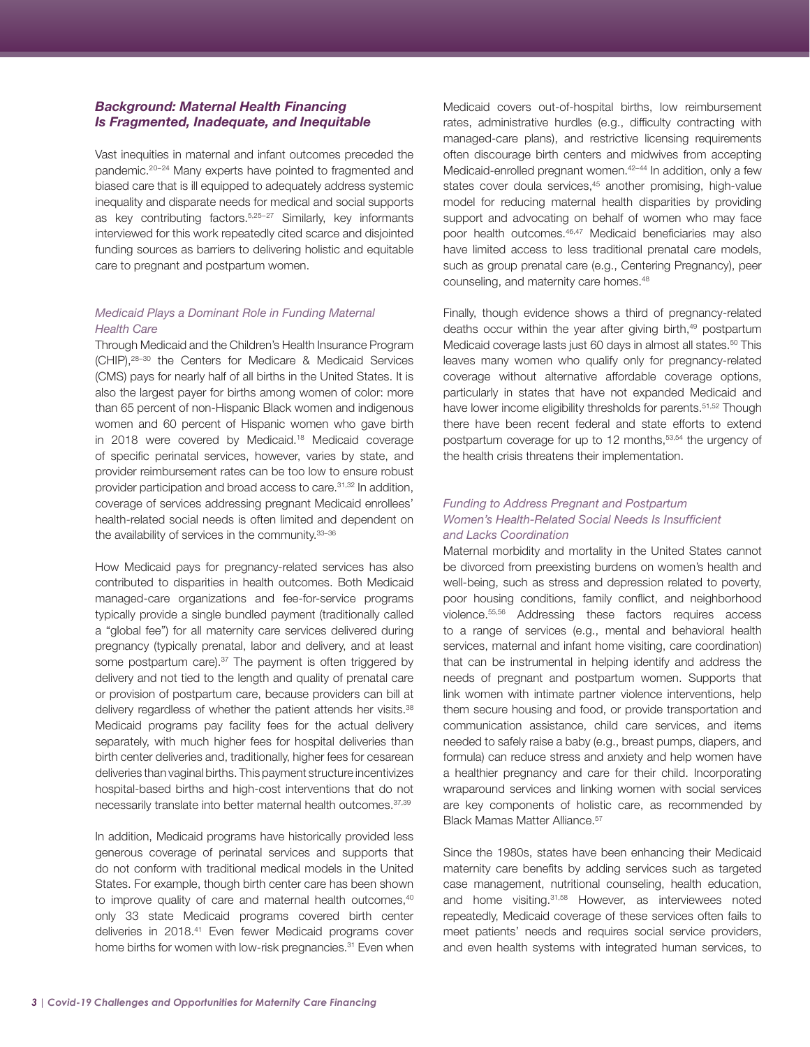## <span id="page-2-0"></span>*Background: Maternal Health Financing Is Fragmented, Inadequate, and Inequitable*

Vast inequities in maternal and infant outcomes preceded the pandemic.[20–](#page-7-0)[24](#page-8-0) Many experts have pointed to fragmented and biased care that is ill equipped to adequately address systemic inequality and disparate needs for medical and social supports as key contributing factors.[5,25–27](#page-8-0) Similarly, key informants interviewed for this work repeatedly cited scarce and disjointed funding sources as barriers to delivering holistic and equitable care to pregnant and postpartum women.

## *Medicaid Plays a Dominant Role in Funding Maternal Health Care*

Through Medicaid and the Children's Health Insurance Program (CHIP)[,28–30](#page-8-0) the Centers for Medicare & Medicaid Services (CMS) pays for nearly half of all births in the United States. It is also the largest payer for births among women of color: more than 65 percent of non-Hispanic Black women and indigenous women and 60 percent of Hispanic women who gave birth in 2018 were covered by Medicaid.18 Medicaid coverage of specific perinatal services, however, varies by state, and provider reimbursement rates can be too low to ensure robust provider participation and broad access to care[.31,32](#page-8-0) In addition, coverage of services addressing pregnant Medicaid enrollees' health-related social needs is often limited and dependent on the availability of services in the community.[33–36](#page-8-0)

How Medicaid pays for pregnancy-related services has also contributed to disparities in health outcomes. Both Medicaid managed-care organizations and fee-for-service programs typically provide a single bundled payment (traditionally called a "global fee") for all maternity care services delivered during pregnancy (typically prenatal, labor and delivery, and at least some postpartum care).<sup>37</sup> The payment is often triggered by delivery and not tied to the length and quality of prenatal care or provision of postpartum care, because providers can bill at delivery regardless of whether the patient attends her visits.<sup>[38](#page-8-0)</sup> Medicaid programs pay facility fees for the actual delivery separately, with much higher fees for hospital deliveries than birth center deliveries and, traditionally, higher fees for cesarean deliveries than vaginal births. This payment structure incentivizes hospital-based births and high-cost interventions that do not necessarily translate into better maternal health outcomes.[37,39](#page-8-0)

In addition, Medicaid programs have historically provided less generous coverage of perinatal services and supports that do not conform with traditional medical models in the United States. For example, though birth center care has been shown to improve quality of care and maternal health outcomes,<sup>[40](#page-8-0)</sup> only 33 state Medicaid programs covered birth center deliveries in 2018.[41](#page-8-0) Even fewer Medicaid programs cover home births for women with low-risk pregnancies.<sup>31</sup> Even when Medicaid covers out-of-hospital births, low reimbursement rates, administrative hurdles (e.g., difficulty contracting with managed-care plans), and restrictive licensing requirements often discourage birth centers and midwives from accepting Medicaid-enrolled pregnant women.<sup>42-[44](#page-9-0)</sup> In addition, only a few states cover doula services,<sup>45</sup> another promising, high-value model for reducing maternal health disparities by providing support and advocating on behalf of women who may face poor health outcomes.[46,47](#page-9-0) Medicaid beneficiaries may also have limited access to less traditional prenatal care models, such as group prenatal care (e.g., Centering Pregnancy), peer counseling, and maternity care homes[.48](#page-9-0)

Finally, though evidence shows a third of pregnancy-related deaths occur within the year after giving birth,<sup>49</sup> postpartum Medicaid coverage lasts just 60 days in almost all states.<sup>50</sup> This leaves many women who qualify only for pregnancy-related coverage without alternative affordable coverage options, particularly in states that have not expanded Medicaid and have lower income eligibility thresholds for parents.<sup>[51,52](#page-9-0)</sup> Though there have been recent federal and state efforts to extend postpartum coverage for up to 12 months,<sup>53,54</sup> the urgency of the health crisis threatens their implementation.

## *Funding to Address Pregnant and Postpartum Women's Health-Related Social Needs Is Insufficient and Lacks Coordination*

Maternal morbidity and mortality in the United States cannot be divorced from preexisting burdens on women's health and well-being, such as stress and depression related to poverty, poor housing conditions, family conflict, and neighborhood violence[.55,56](#page-9-0) Addressing these factors requires access to a range of services (e.g., mental and behavioral health services, maternal and infant home visiting, care coordination) that can be instrumental in helping identify and address the needs of pregnant and postpartum women. Supports that link women with intimate partner violence interventions, help them secure housing and food, or provide transportation and communication assistance, child care services, and items needed to safely raise a baby (e.g., breast pumps, diapers, and formula) can reduce stress and anxiety and help women have a healthier pregnancy and care for their child. Incorporating wraparound services and linking women with social services are key components of holistic care, as recommended by Black Mamas Matter Alliance.<sup>[57](#page-9-0)</sup>

Since the 1980s, states have been enhancing their Medicaid maternity care benefits by adding services such as targeted case management, nutritional counseling, health education, and home visiting[.31,58](#page-9-0) However, as interviewees noted repeatedly, Medicaid coverage of these services often fails to meet patients' needs and requires social service providers, and even health systems with integrated human services, to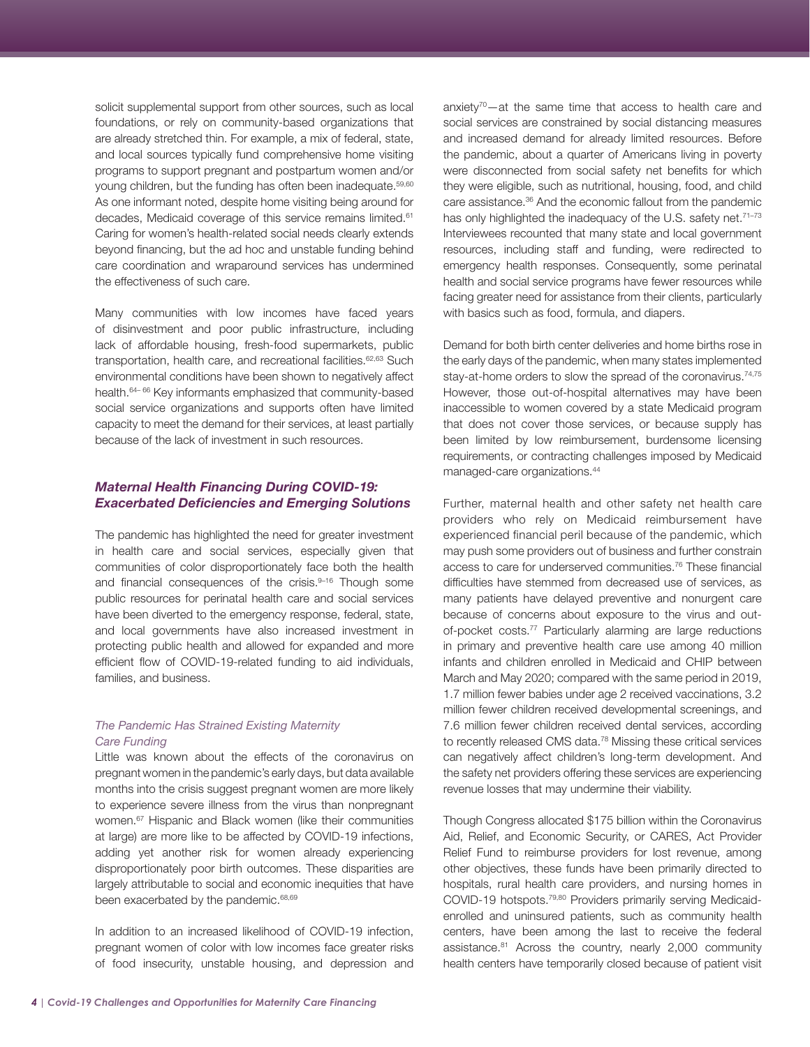<span id="page-3-0"></span>solicit supplemental support from other sources, such as local foundations, or rely on community-based organizations that are already stretched thin. For example, a mix of federal, state, and local sources typically fund comprehensive home visiting programs to support pregnant and postpartum women and/or young children, but the funding has often been inadequate.<sup>[59,60](#page-9-0)</sup> As one informant noted, despite home visiting being around for decades, Medicaid coverage of this service remains limited.<sup>[61](#page-9-0)</sup> Caring for women's health-related social needs clearly extends beyond financing, but the ad hoc and unstable funding behind care coordination and wraparound services has undermined the effectiveness of such care.

Many communities with low incomes have faced years of disinvestment and poor public infrastructure, including lack of affordable housing, fresh-food supermarkets, public transportation, health care, and recreational facilities.<sup>62,63</sup> Such environmental conditions have been shown to negatively affect health.<sup>[64–](#page-9-0)66</sup> Key informants emphasized that community-based social service organizations and supports often have limited capacity to meet the demand for their services, at least partially because of the lack of investment in such resources.

## *Maternal Health Financing During COVID-19: Exacerbated Deficiencies and Emerging Solutions*

The pandemic has highlighted the need for greater investment in health care and social services, especially given that communities of color disproportionately face both the health and financial consequences of the crisis. $9-16$  Though some public resources for perinatal health care and social services have been diverted to the emergency response, federal, state, and local governments have also increased investment in protecting public health and allowed for expanded and more efficient flow of COVID-19-related funding to aid individuals, families, and business.

### *The Pandemic Has Strained Existing Maternity Care Funding*

Little was known about the effects of the coronavirus on pregnant women in the pandemic's early days, but data available months into the crisis suggest pregnant women are more likely to experience severe illness from the virus than nonpregnant women[.67](#page-10-0) Hispanic and Black women (like their communities at large) are more like to be affected by COVID-19 infections, adding yet another risk for women already experiencing disproportionately poor birth outcomes. These disparities are largely attributable to social and economic inequities that have been exacerbated by the pandemic.<sup>[68,69](#page-10-0)</sup>

In addition to an increased likelihood of COVID-19 infection, pregnant women of color with low incomes face greater risks of food insecurity, unstable housing, and depression and anxiety<sup>70</sup>—at the same time that access to health care and social services are constrained by social distancing measures and increased demand for already limited resources. Before the pandemic, about a quarter of Americans living in poverty were disconnected from social safety net benefits for which they were eligible, such as nutritional, housing, food, and child care assistance.36 And the economic fallout from the pandemic has only highlighted the inadequacy of the U.S. safety net.<sup>71-73</sup> Interviewees recounted that many state and local government resources, including staff and funding, were redirected to emergency health responses. Consequently, some perinatal health and social service programs have fewer resources while facing greater need for assistance from their clients, particularly with basics such as food, formula, and diapers.

Demand for both birth center deliveries and home births rose in the early days of the pandemic, when many states implemented stay-at-home orders to slow the spread of the coronavirus.<sup>[74,75](#page-10-0)</sup> However, those out-of-hospital alternatives may have been inaccessible to women covered by a state Medicaid program that does not cover those services, or because supply has been limited by low reimbursement, burdensome licensing requirements, or contracting challenges imposed by Medicaid managed-care organizations.44

Further, maternal health and other safety net health care providers who rely on Medicaid reimbursement have experienced financial peril because of the pandemic, which may push some providers out of business and further constrain access to care for underserved communities[.76](#page-10-0) These financial difficulties have stemmed from decreased use of services, as many patients have delayed preventive and nonurgent care because of concerns about exposure to the virus and outof-pocket costs.<sup>77</sup> Particularly alarming are large reductions in primary and preventive health care use among 40 million infants and children enrolled in Medicaid and CHIP between March and May 2020; compared with the same period in 2019, 1.7 million fewer babies under age 2 received vaccinations, 3.2 million fewer children received developmental screenings, and 7.6 million fewer children received dental services, according to recently released CMS data[.78](#page-10-0) Missing these critical services can negatively affect children's long-term development. And the safety net providers offering these services are experiencing revenue losses that may undermine their viability.

Though Congress allocated \$175 billion within the Coronavirus Aid, Relief, and Economic Security, or CARES, Act Provider Relief Fund to reimburse providers for lost revenue, among other objectives, these funds have been primarily directed to hospitals, rural health care providers, and nursing homes in COVID-19 hotspots.[79,80](#page-10-0) Providers primarily serving Medicaidenrolled and uninsured patients, such as community health centers, have been among the last to receive the federal assistance.<sup>[81](#page-10-0)</sup> Across the country, nearly 2,000 community health centers have temporarily closed because of patient visit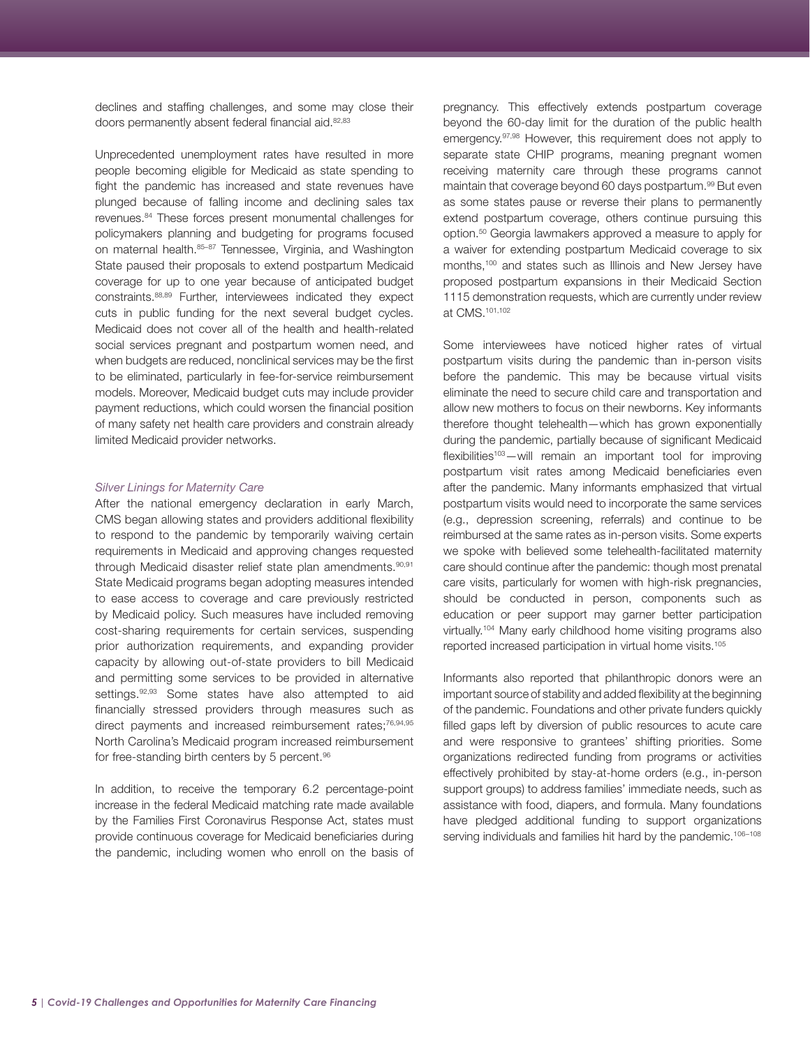<span id="page-4-0"></span>declines and staffing challenges, and some may close their doors permanently absent federal financial aid.<sup>[82,83](#page-10-0)</sup>

Unprecedented unemployment rates have resulted in more people becoming eligible for Medicaid as state spending to fight the pandemic has increased and state revenues have plunged because of falling income and declining sales tax revenues[.84](#page-10-0) These forces present monumental challenges for policymakers planning and budgeting for programs focused on maternal health. 85-[87](#page-11-0) Tennessee, Virginia, and Washington State paused their proposals to extend postpartum Medicaid coverage for up to one year because of anticipated budget constraints.[88,89](#page-11-0) Further, interviewees indicated they expect cuts in public funding for the next several budget cycles. Medicaid does not cover all of the health and health-related social services pregnant and postpartum women need, and when budgets are reduced, nonclinical services may be the first to be eliminated, particularly in fee-for-service reimbursement models. Moreover, Medicaid budget cuts may include provider payment reductions, which could worsen the financial position of many safety net health care providers and constrain already limited Medicaid provider networks.

#### *Silver Linings for Maternity Care*

After the national emergency declaration in early March, CMS began allowing states and providers additional flexibility to respond to the pandemic by temporarily waiving certain requirements in Medicaid and approving changes requested through Medicaid disaster relief state plan amendments.<sup>90,91</sup> State Medicaid programs began adopting measures intended to ease access to coverage and care previously restricted by Medicaid policy. Such measures have included removing cost-sharing requirements for certain services, suspending prior authorization requirements, and expanding provider capacity by allowing out-of-state providers to bill Medicaid and permitting some services to be provided in alternative settings. 92,93 Some states have also attempted to aid financially stressed providers through measures such as direct payments and increased reimbursement rates;<sup>[76,94,95](#page-11-0)</sup> North Carolina's Medicaid program increased reimbursement for free-standing birth centers by 5 percent.<sup>96</sup>

In addition, to receive the temporary 6.2 percentage-point increase in the federal Medicaid matching rate made available by the Families First Coronavirus Response Act, states must provide continuous coverage for Medicaid beneficiaries during the pandemic, including women who enroll on the basis of pregnancy. This effectively extends postpartum coverage beyond the 60-day limit for the duration of the public health emergency.[97,98](#page-11-0) However, this requirement does not apply to separate state CHIP programs, meaning pregnant women receiving maternity care through these programs cannot maintain that coverage beyond 60 days postpartum.<sup>99</sup> But even as some states pause or reverse their plans to permanently extend postpartum coverage, others continue pursuing this option.50 Georgia lawmakers approved a measure to apply for a waiver for extending postpartum Medicaid coverage to six months,[100](#page-11-0) and states such as Illinois and New Jersey have proposed postpartum expansions in their Medicaid Section 1115 demonstration requests, which are currently under review at CMS[.101,102](#page-11-0)

Some interviewees have noticed higher rates of virtual postpartum visits during the pandemic than in-person visits before the pandemic. This may be because virtual visits eliminate the need to secure child care and transportation and allow new mothers to focus on their newborns. Key informants therefore thought telehealth—which has grown exponentially during the pandemic, partially because of significant Medicaid  $flexibilities<sup>103</sup> - will remain an important tool for improving$ postpartum visit rates among Medicaid beneficiaries even after the pandemic. Many informants emphasized that virtual postpartum visits would need to incorporate the same services (e.g., depression screening, referrals) and continue to be reimbursed at the same rates as in-person visits. Some experts we spoke with believed some telehealth-facilitated maternity care should continue after the pandemic: though most prenatal care visits, particularly for women with high-risk pregnancies, should be conducted in person, components such as education or peer support may garner better participation virtually[.104](#page-11-0) Many early childhood home visiting programs also reported increased participation in virtual home visits[.105](#page-11-0)

Informants also reported that philanthropic donors were an important source of stability and added flexibility at the beginning of the pandemic. Foundations and other private funders quickly filled gaps left by diversion of public resources to acute care and were responsive to grantees' shifting priorities. Some organizations redirected funding from programs or activities effectively prohibited by stay-at-home orders (e.g., in-person support groups) to address families' immediate needs, such as assistance with food, diapers, and formula. Many foundations have pledged additional funding to support organizations serving individuals and families hit hard by the pandemic.<sup>106-[108](#page-12-0)</sup>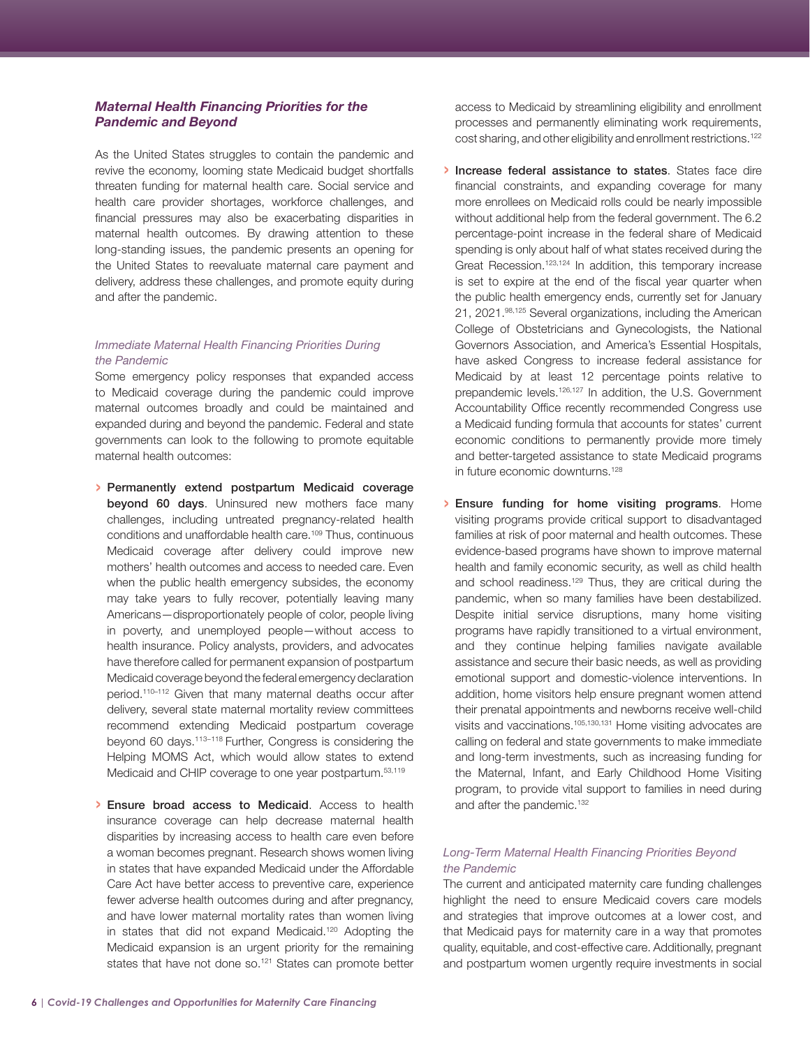## <span id="page-5-0"></span>*Maternal Health Financing Priorities for the Pandemic and Beyond*

As the United States struggles to contain the pandemic and revive the economy, looming state Medicaid budget shortfalls threaten funding for maternal health care. Social service and health care provider shortages, workforce challenges, and financial pressures may also be exacerbating disparities in maternal health outcomes. By drawing attention to these long-standing issues, the pandemic presents an opening for the United States to reevaluate maternal care payment and delivery, address these challenges, and promote equity during and after the pandemic.

## *Immediate Maternal Health Financing Priorities During the Pandemic*

Some emergency policy responses that expanded access to Medicaid coverage during the pandemic could improve maternal outcomes broadly and could be maintained and expanded during and beyond the pandemic. Federal and state governments can look to the following to promote equitable maternal health outcomes:

- › Permanently extend postpartum Medicaid coverage beyond 60 days. Uninsured new mothers face many challenges, including untreated pregnancy-related health conditions and unaffordable health care[.109](#page-12-0) Thus, continuous Medicaid coverage after delivery could improve new mothers' health outcomes and access to needed care. Even when the public health emergency subsides, the economy may take years to fully recover, potentially leaving many Americans—disproportionately people of color, people living in poverty, and unemployed people—without access to health insurance. Policy analysts, providers, and advocates have therefore called for permanent expansion of postpartum Medicaid coverage beyond the federal emergency declaration period[.110–112](#page-12-0) Given that many maternal deaths occur after delivery, several state maternal mortality review committees recommend extending Medicaid postpartum coverage beyond 60 days[.113–118](#page-12-0) Further, Congress is considering the Helping MOMS Act, which would allow states to extend Medicaid and CHIP coverage to one year postpartum.<sup>53,119</sup>
- › Ensure broad access to Medicaid. Access to health insurance coverage can help decrease maternal health disparities by increasing access to health care even before a woman becomes pregnant. Research shows women living in states that have expanded Medicaid under the Affordable Care Act have better access to preventive care, experience fewer adverse health outcomes during and after pregnancy, and have lower maternal mortality rates than women living in states that did not expand Medicaid.[120](#page-12-0) Adopting the Medicaid expansion is an urgent priority for the remaining states that have not done so.<sup>121</sup> States can promote better

access to Medicaid by streamlining eligibility and enrollment processes and permanently eliminating work requirements, cost sharing, and other eligibility and enrollment restrictions.<sup>122</sup>

- › Increase federal assistance to states. States face dire financial constraints, and expanding coverage for many more enrollees on Medicaid rolls could be nearly impossible without additional help from the federal government. The 6.2 percentage-point increase in the federal share of Medicaid spending is only about half of what states received during the Great Recession.<sup>123,124</sup> In addition, this temporary increase is set to expire at the end of the fiscal year quarter when the public health emergency ends, currently set for January 21, 2021.[98,125](#page-12-0) Several organizations, including the American College of Obstetricians and Gynecologists, the National Governors Association, and America's Essential Hospitals, have asked Congress to increase federal assistance for Medicaid by at least 12 percentage points relative to prepandemic levels.<sup>126,127</sup> In addition, the U.S. Government Accountability Office recently recommended Congress use a Medicaid funding formula that accounts for states' current economic conditions to permanently provide more timely and better-targeted assistance to state Medicaid programs in future economic downturns.<sup>128</sup>
- › Ensure funding for home visiting programs. Home visiting programs provide critical support to disadvantaged families at risk of poor maternal and health outcomes. These evidence-based programs have shown to improve maternal health and family economic security, as well as child health and school readiness.<sup>129</sup> Thus, they are critical during the pandemic, when so many families have been destabilized. Despite initial service disruptions, many home visiting programs have rapidly transitioned to a virtual environment, and they continue helping families navigate available assistance and secure their basic needs, as well as providing emotional support and domestic-violence interventions. In addition, home visitors help ensure pregnant women attend their prenatal appointments and newborns receive well-child visits and vaccinations.[105,130,131](#page-13-0) Home visiting advocates are calling on federal and state governments to make immediate and long-term investments, such as increasing funding for the Maternal, Infant, and Early Childhood Home Visiting program, to provide vital support to families in need during and after the pandemic.<sup>[132](#page-13-0)</sup>

### *Long-Term Maternal Health Financing Priorities Beyond the Pandemic*

The current and anticipated maternity care funding challenges highlight the need to ensure Medicaid covers care models and strategies that improve outcomes at a lower cost, and that Medicaid pays for maternity care in a way that promotes quality, equitable, and cost-effective care. Additionally, pregnant and postpartum women urgently require investments in social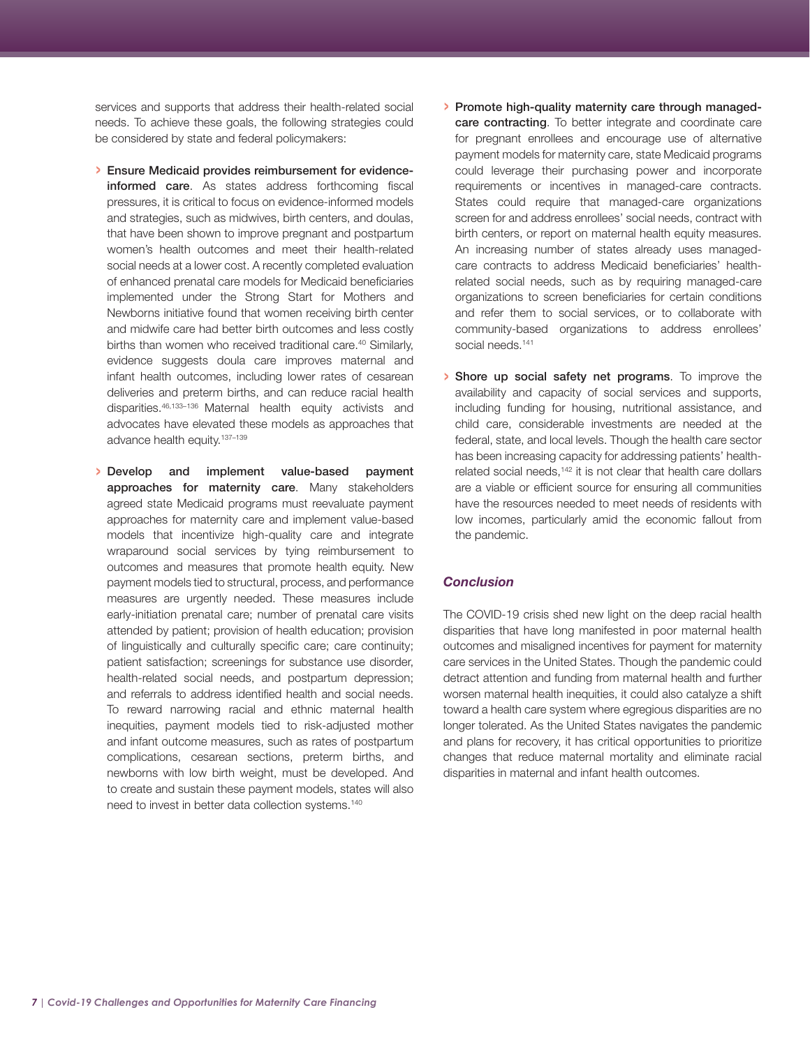<span id="page-6-0"></span>services and supports that address their health-related social needs. To achieve these goals, the following strategies could be considered by state and federal policymakers:

- › Ensure Medicaid provides reimbursement for evidenceinformed care. As states address forthcoming fiscal pressures, it is critical to focus on evidence-informed models and strategies, such as midwives, birth centers, and doulas, that have been shown to improve pregnant and postpartum women's health outcomes and meet their health-related social needs at a lower cost. A recently completed evaluation of enhanced prenatal care models for Medicaid beneficiaries implemented under the Strong Start for Mothers and Newborns initiative found that women receiving birth center and midwife care had better birth outcomes and less costly births than women who received traditional care.<sup>40</sup> Similarly, evidence suggests doula care improves maternal and infant health outcomes, including lower rates of cesarean deliveries and preterm births, and can reduce racial health disparities[.46,133–136](#page-13-0) Maternal health equity activists and advocates have elevated these models as approaches that advance health equity.<sup>137-139</sup>
- › Develop and implement value-based payment approaches for maternity care. Many stakeholders agreed state Medicaid programs must reevaluate payment approaches for maternity care and implement value-based models that incentivize high-quality care and integrate wraparound social services by tying reimbursement to outcomes and measures that promote health equity. New payment models tied to structural, process, and performance measures are urgently needed. These measures include early-initiation prenatal care; number of prenatal care visits attended by patient; provision of health education; provision of linguistically and culturally specific care; care continuity; patient satisfaction; screenings for substance use disorder, health-related social needs, and postpartum depression; and referrals to address identified health and social needs. To reward narrowing racial and ethnic maternal health inequities, payment models tied to risk-adjusted mother and infant outcome measures, such as rates of postpartum complications, cesarean sections, preterm births, and newborns with low birth weight, must be developed. And to create and sustain these payment models, states will also need to invest in better data collection systems.<sup>140</sup>
- › Promote high-quality maternity care through managedcare contracting. To better integrate and coordinate care for pregnant enrollees and encourage use of alternative payment models for maternity care, state Medicaid programs could leverage their purchasing power and incorporate requirements or incentives in managed-care contracts. States could require that managed-care organizations screen for and address enrollees' social needs, contract with birth centers, or report on maternal health equity measures. An increasing number of states already uses managedcare contracts to address Medicaid beneficiaries' healthrelated social needs, such as by requiring managed-care organizations to screen beneficiaries for certain conditions and refer them to social services, or to collaborate with community-based organizations to address enrollees' social needs.<sup>[141](#page-13-0)</sup>
- › Shore up social safety net programs. To improve the availability and capacity of social services and supports, including funding for housing, nutritional assistance, and child care, considerable investments are needed at the federal, state, and local levels. Though the health care sector has been increasing capacity for addressing patients' healthrelated social needs.<sup>142</sup> it is not clear that health care dollars are a viable or efficient source for ensuring all communities have the resources needed to meet needs of residents with low incomes, particularly amid the economic fallout from the pandemic.

## *Conclusion*

The COVID-19 crisis shed new light on the deep racial health disparities that have long manifested in poor maternal health outcomes and misaligned incentives for payment for maternity care services in the United States. Though the pandemic could detract attention and funding from maternal health and further worsen maternal health inequities, it could also catalyze a shift toward a health care system where egregious disparities are no longer tolerated. As the United States navigates the pandemic and plans for recovery, it has critical opportunities to prioritize changes that reduce maternal mortality and eliminate racial disparities in maternal and infant health outcomes.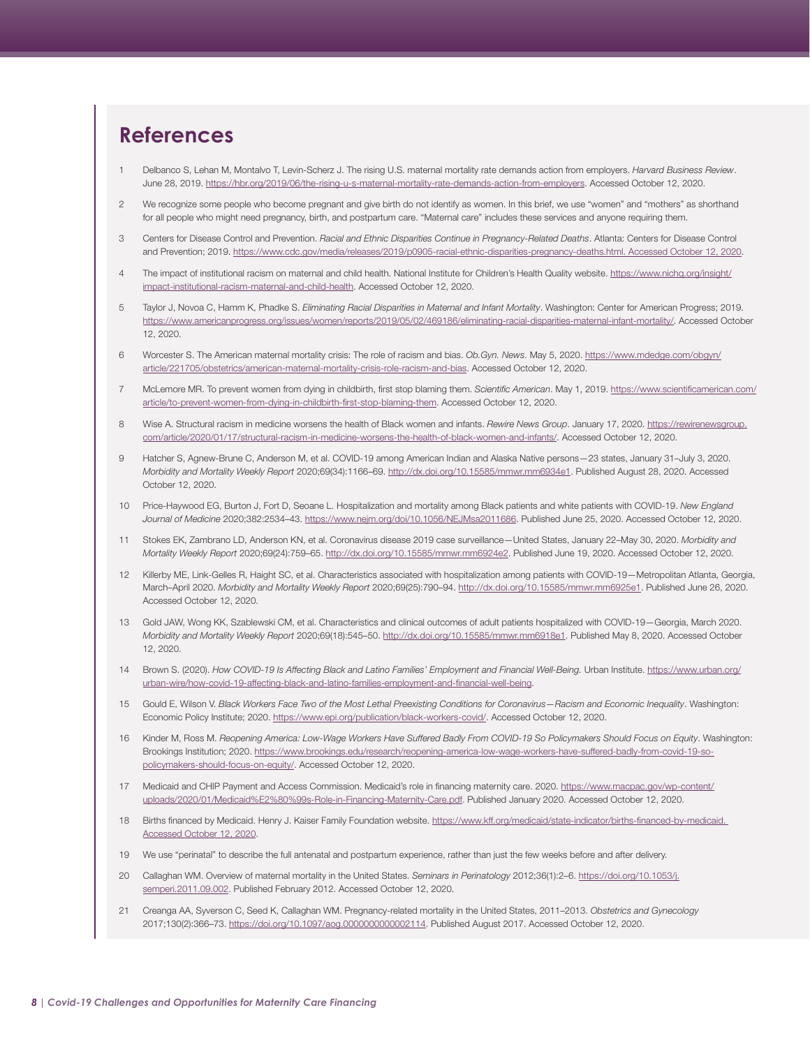# <span id="page-7-0"></span>**References**

- [1](#page-0-0) Delbanco S, Lehan M, Montalvo T, Levin-Scherz J. The rising U.S. maternal mortality rate demands action from employers. *Harvard Business Review*. June 28, 2019. <https://hbr.org/2019/06/the-rising-u-s-maternal-mortality-rate-demands-action-from-employers>. Accessed October 12, 2020.
- [2](#page-0-0) We recognize some people who become pregnant and give birth do not identify as women. In this brief, we use "women" and "mothers" as shorthand for all people who might need pregnancy, birth, and postpartum care. "Maternal care" includes these services and anyone requiring them.
- [3](#page-0-0) Centers for Disease Control and Prevention. *Racial and Ethnic Disparities Continue in Pregnancy-Related Deaths*. Atlanta: Centers for Disease Control and Prevention; 2019.<https://www.cdc.gov/media/releases/2019/p0905-racial-ethnic-disparities-pregnancy-deaths.html>. Accessed October 12, 2020.
- [4](#page-0-0) The impact of institutional racism on maternal and child health. National Institute for Children's Health Quality website. [https://www.nichq.org/insight/](https://www.nichq.org/insight/impact-institutional-racism-maternal-and-child-health) [impact-institutional-racism-maternal-and-child-health](https://www.nichq.org/insight/impact-institutional-racism-maternal-and-child-health). Accessed October 12, 2020.
- 5 Taylor J, Novoa C, Hamm K, Phadke S. *Eliminating Racial Disparities in Maternal and Infant Mortality*. Washington: Center for American Progress; 2019. <https://www.americanprogress.org/issues/women/reports/2019/05/02/469186/eliminating-racial-disparities-maternal-infant-mortality/>. Accessed October 12, 2020.
- 6 Worcester S. The American maternal mortality crisis: The role of racism and bias. *Ob.Gyn. News*. May 5, 2020. [https://www.mdedge.com/obgyn/](https://www.mdedge.com/obgyn/article/221705/obstetrics/american-maternal-mortality-crisis-role-racism-and-bias) [article/221705/obstetrics/american-maternal-mortality-crisis-role-racism-and-bias.](https://www.mdedge.com/obgyn/article/221705/obstetrics/american-maternal-mortality-crisis-role-racism-and-bias) Accessed October 12, 2020.
- 7 McLemore MR. To prevent women from dying in childbirth, first stop blaming them. *Scientific American*. May 1, 2019. [https://www.scientificamerican.com/](https://www.scientificamerican.com/article/to-prevent-women-from-dying-in-childbirth-first-stop-blaming-them) [article/to-prevent-women-from-dying-in-childbirth-first-stop-blaming-them](https://www.scientificamerican.com/article/to-prevent-women-from-dying-in-childbirth-first-stop-blaming-them). Accessed October 12, 2020.
- [8](#page-0-0) Wise A. Structural racism in medicine worsens the health of Black women and infants. *Rewire News Group*. January 17, 2020. [https://rewirenewsgroup.](https://rewirenewsgroup.com/article/2020/01/17/structural-racism-in-medicine-worsens-the-health-of-black-women-and-infants/) [com/article/2020/01/17/structural-racism-in-medicine-worsens-the-health-of-black-women-and-infants/](https://rewirenewsgroup.com/article/2020/01/17/structural-racism-in-medicine-worsens-the-health-of-black-women-and-infants/). Accessed October 12, 2020.
- [9](#page-0-0) Hatcher S, Agnew-Brune C, Anderson M, et al. COVID-19 among American Indian and Alaska Native persons—23 states, January 31–July 3, 2020. *Morbidity and Mortality Weekly Report* 2020;69(34):1166–69. [http://dx.doi.org/10.15585/mmwr.mm6934e1.](http://dx.doi.org/10.15585/mmwr.mm6934e1) Published August 28, 2020. Accessed October 12, 2020.
- 10 Price-Haywood EG, Burton J, Fort D, Seoane L. Hospitalization and mortality among Black patients and white patients with COVID-19. *New England Journal of Medicine* 2020;382:2534–43. <https://www.nejm.org/doi/10.1056/NEJMsa2011686>. Published June 25, 2020. Accessed October 12, 2020.
- 11 Stokes EK, Zambrano LD, Anderson KN, et al. Coronavirus disease 2019 case surveillance—United States, January 22–May 30, 2020. *Morbidity and Mortality Weekly Report* 2020;69(24):759–65.<http://dx.doi.org/10.15585/mmwr.mm6924e2>. Published June 19, 2020. Accessed October 12, 2020.
- 12 Killerby ME, Link-Gelles R, Haight SC, et al. Characteristics associated with hospitalization among patients with COVID-19—Metropolitan Atlanta, Georgia, March–April 2020. *Morbidity and Mortality Weekly Report* 2020;69(25):790–94. [http://dx.doi.org/10.15585/mmwr.mm6925e1.](http://dx.doi.org/10.15585/mmwr.mm6925e1) Published June 26, 2020. Accessed October 12, 2020.
- 13 Gold JAW, Wong KK, Szablewski CM, et al. Characteristics and clinical outcomes of adult patients hospitalized with COVID-19—Georgia, March 2020. *Morbidity and Mortality Weekly Report* 2020;69(18):545–50. [http://dx.doi.org/10.15585/mmwr.mm6918e1.](http://dx.doi.org/10.15585/mmwr.mm6918e1) Published May 8, 2020. Accessed October 12, 2020.
- 14 Brown S. (2020). *How COVID-19 Is Affecting Black and Latino Families' Employment and Financial Well-Being.* Urban Institute. [https://www.urban.org/](https://www.urban.org/urban-wire/how-covid-19-affecting-black-and-latino-families-employment-and-financial-well-being) [urban-wire/how-covid-19-affecting-black-and-latino-families-employment-and-financial-well-being](https://www.urban.org/urban-wire/how-covid-19-affecting-black-and-latino-families-employment-and-financial-well-being).
- 15 Gould E, Wilson V. *Black Workers Face Two of the Most Lethal Preexisting Conditions for Coronavirus—Racism and Economic Inequality*. Washington: Economic Policy Institute; 2020. [https://www.epi.org/publication/black-workers-covid/.](https://www.epi.org/publication/black-workers-covid/) Accessed October 12, 2020.
- [16](#page-0-0) Kinder M, Ross M. *Reopening America: Low-Wage Workers Have Suffered Badly From COVID-19 So Policymakers Should Focus on Equity*. Washington: Brookings Institution; 2020. [https://www.brookings.edu/research/reopening-america-low-wage-workers-have-suffered-badly-from-covid-19-so](https://www.brookings.edu/research/reopening-america-low-wage-workers-have-suffered-badly-from-covid-19-so-policymakers-should-focus-on-equity/)[policymakers-should-focus-on-equity/](https://www.brookings.edu/research/reopening-america-low-wage-workers-have-suffered-badly-from-covid-19-so-policymakers-should-focus-on-equity/). Accessed October 12, 2020.
- [17](#page-0-0) Medicaid and CHIP Payment and Access Commission. Medicaid's role in financing maternity care. 2020. [https://www.macpac.gov/wp-content/](https://www.macpac.gov/wp-content/uploads/2020/01/Medicaid%E2%80%99s-Role-in-Financing-Maternity-Care.pdf) [uploads/2020/01/Medicaid%E2%80%99s-Role-in-Financing-Maternity-Care.pdf.](https://www.macpac.gov/wp-content/uploads/2020/01/Medicaid%E2%80%99s-Role-in-Financing-Maternity-Care.pdf) Published January 2020. Accessed October 12, 2020.
- [18](#page-0-0) Births financed by Medicaid. Henry J. Kaiser Family Foundation website. [https://www.kff.org/medicaid/state-indicator/births-financed-by-medicaid.](https://www.kff.org/medicaid/state-indicator/births-financed-by-medicaid) Accessed October 12, 2020.
- [19](#page-0-0) We use "perinatal" to describe the full antenatal and postpartum experience, rather than just the few weeks before and after delivery.
- [20](#page-2-0) Callaghan WM. Overview of maternal mortality in the United States. *Seminars in Perinatology* 2012;36(1):2–6. [https://doi.org/10.1053/j.](https://doi.org/10.1053/j.semperi.2011.09.002) [semperi.2011.09.002.](https://doi.org/10.1053/j.semperi.2011.09.002) Published February 2012. Accessed October 12, 2020.
- 21 Creanga AA, Syverson C, Seed K, Callaghan WM. Pregnancy-related mortality in the United States, 2011–2013. *Obstetrics and Gynecology* 2017;130(2):366–73. [https://doi.org/10.1097/aog.0000000000002114.](https://doi.org/10.1097/aog.0000000000002114) Published August 2017. Accessed October 12, 2020.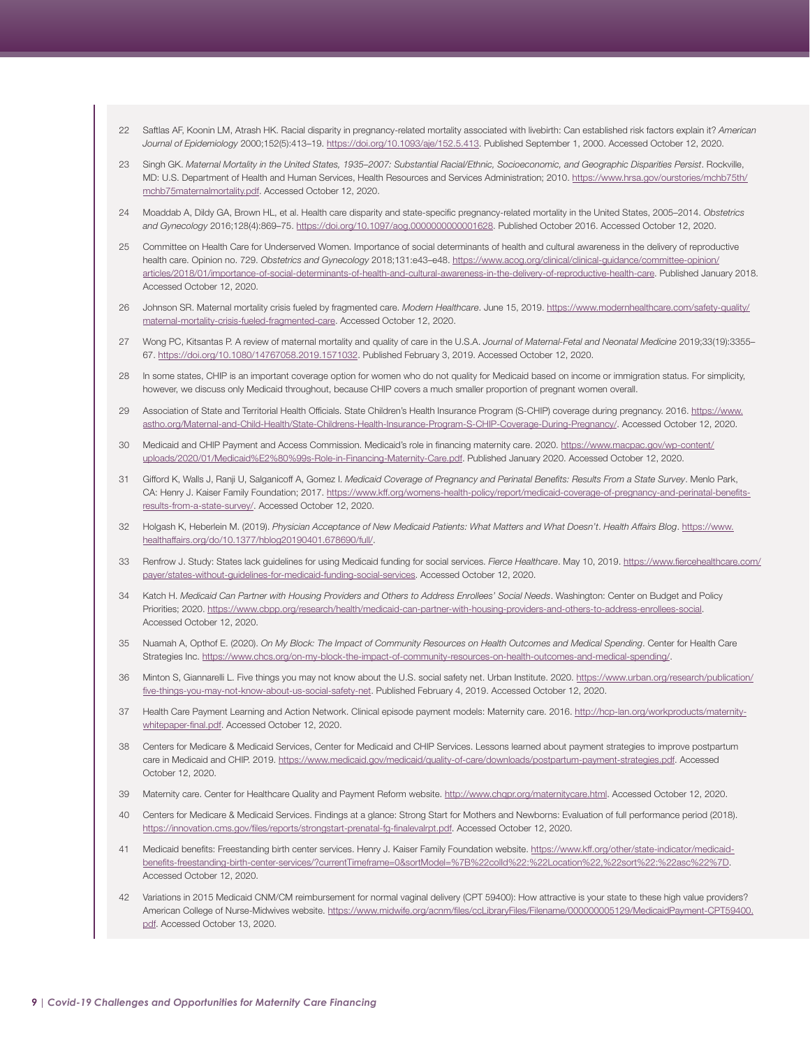- <span id="page-8-0"></span>22 Saftlas AF, Koonin LM, Atrash HK. Racial disparity in pregnancy-related mortality associated with livebirth: Can established risk factors explain it? *American Journal of Epidemiology* 2000;152(5):413–19.<https://doi.org/10.1093/aje/152.5.413>. Published September 1, 2000. Accessed October 12, 2020.
- 23 Singh GK. *Maternal Mortality in the United States, 1935–2007: Substantial Racial/Ethnic, Socioeconomic, and Geographic Disparities Persist*. Rockville, MD: U.S. Department of Health and Human Services, Health Resources and Services Administration; 2010. [https://www.hrsa.gov/ourstories/mchb75th/](https://www.hrsa.gov/ourstories/mchb75th/mchb75maternalmortality.pdf) [mchb75maternalmortality.pdf.](https://www.hrsa.gov/ourstories/mchb75th/mchb75maternalmortality.pdf) Accessed October 12, 2020.
- [24](#page-2-0) Moaddab A, Dildy GA, Brown HL, et al. Health care disparity and state-specific pregnancy-related mortality in the United States, 2005–2014. *Obstetrics and Gynecology* 2016;128(4):869–75. [https://doi.org/10.1097/aog.0000000000001628.](https://doi.org/10.1097/aog.0000000000001628) Published October 2016. Accessed October 12, 2020.
- [25](#page-2-0) Committee on Health Care for Underserved Women. Importance of social determinants of health and cultural awareness in the delivery of reproductive health care. Opinion no. 729. *Obstetrics and Gynecology* 2018;131:e43–e48. [https://www.acog.org/clinical/clinical-guidance/committee-opinion/](https://www.acog.org/clinical/clinical-guidance/committee-opinion/articles/2018/01/importance-of-social-determinants-of-health-and-cultural-awareness-in-the-delivery-of-reproductive-health-care) [articles/2018/01/importance-of-social-determinants-of-health-and-cultural-awareness-in-the-delivery-of-reproductive-health-care.](https://www.acog.org/clinical/clinical-guidance/committee-opinion/articles/2018/01/importance-of-social-determinants-of-health-and-cultural-awareness-in-the-delivery-of-reproductive-health-care) Published January 2018. Accessed October 12, 2020.
- 26 Johnson SR. Maternal mortality crisis fueled by fragmented care. *Modern Healthcare*. June 15, 2019. [https://www.modernhealthcare.com/safety-quality/](https://www.modernhealthcare.com/safety-quality/maternal-mortality-crisis-fueled-fragmented-care) [maternal-mortality-crisis-fueled-fragmented-care](https://www.modernhealthcare.com/safety-quality/maternal-mortality-crisis-fueled-fragmented-care). Accessed October 12, 2020.
- [27](#page-2-0) Wong PC, Kitsantas P. A review of maternal mortality and quality of care in the U.S.A. *Journal of Maternal-Fetal and Neonatal Medicine* 2019;33(19):3355– 67. [https://doi.org/10.1080/14767058.2019.1571032.](https://doi.org/10.1080/14767058.2019.1571032) Published February 3, 2019. Accessed October 12, 2020.
- [28](#page-2-0) In some states, CHIP is an important coverage option for women who do not quality for Medicaid based on income or immigration status. For simplicity, however, we discuss only Medicaid throughout, because CHIP covers a much smaller proportion of pregnant women overall.
- 29 Association of State and Territorial Health Officials. State Children's Health Insurance Program (S-CHIP) coverage during pregnancy. 2016. [https://www.](https://www.astho.org/Maternal-and-Child-Health/State-Childrens-Health-Insurance-Program-S-CHIP-Coverage-During-Pregnancy/) [astho.org/Maternal-and-Child-Health/State-Childrens-Health-Insurance-Program-S-CHIP-Coverage-During-Pregnancy/](https://www.astho.org/Maternal-and-Child-Health/State-Childrens-Health-Insurance-Program-S-CHIP-Coverage-During-Pregnancy/). Accessed October 12, 2020.
- [30](#page-2-0) Medicaid and CHIP Payment and Access Commission. Medicaid's role in financing maternity care. 2020. [https://www.macpac.gov/wp-content/](https://www.macpac.gov/wp-content/uploads/2020/01/Medicaid%E2%80%99s-Role-in-Financing-Maternity-Care.pdf) [uploads/2020/01/Medicaid%E2%80%99s-Role-in-Financing-Maternity-Care.pdf.](https://www.macpac.gov/wp-content/uploads/2020/01/Medicaid%E2%80%99s-Role-in-Financing-Maternity-Care.pdf) Published January 2020. Accessed October 12, 2020.
- [31](#page-2-0) Gifford K, Walls J, Ranji U, Salganicoff A, Gomez I. *Medicaid Coverage of Pregnancy and Perinatal Benefits: Results From a State Survey*. Menlo Park, CA: Henry J. Kaiser Family Foundation; 2017. [https://www.kff.org/womens-health-policy/report/medicaid-coverage-of-pregnancy-and-perinatal-benefits](https://www.kff.org/womens-health-policy/report/medicaid-coverage-of-pregnancy-and-perinatal-benefits-results-from-a-state-survey/)[results-from-a-state-survey/.](https://www.kff.org/womens-health-policy/report/medicaid-coverage-of-pregnancy-and-perinatal-benefits-results-from-a-state-survey/) Accessed October 12, 2020.
- [32](#page-2-0) Holgash K, Heberlein M. (2019). *Physician Acceptance of New Medicaid Patients: What Matters and What Doesn't*. *Health Affairs Blog*. [https://www.](https://www.healthaffairs.org/do/10.1377/hblog20190401.678690/full/) [healthaffairs.org/do/10.1377/hblog20190401.678690/full/](https://www.healthaffairs.org/do/10.1377/hblog20190401.678690/full/).
- [33](#page-2-0) Renfrow J. Study: States lack guidelines for using Medicaid funding for social services. *Fierce Healthcare*. May 10, 2019. [https://www.fiercehealthcare.com/](https://www.fiercehealthcare.com/payer/states-without-guidelines-for-medicaid-funding-social-services) [payer/states-without-guidelines-for-medicaid-funding-social-services.](https://www.fiercehealthcare.com/payer/states-without-guidelines-for-medicaid-funding-social-services) Accessed October 12, 2020.
- 34 Katch H. *Medicaid Can Partner with Housing Providers and Others to Address Enrollees' Social Needs*. Washington: Center on Budget and Policy Priorities; 2020. [https://www.cbpp.org/research/health/medicaid-can-partner-with-housing-providers-and-others-to-address-enrollees-social.](https://www.cbpp.org/research/health/medicaid-can-partner-with-housing-providers-and-others-to-address-enrollees-social) Accessed October 12, 2020.
- 35 Nuamah A, Opthof E. (2020). *On My Block: The Impact of Community Resources on Health Outcomes and Medical Spending*. Center for Health Care Strategies Inc. [https://www.chcs.org/on-my-block-the-impact-of-community-resources-on-health-outcomes-and-medical-spending/.](https://www.chcs.org/on-my-block-the-impact-of-community-resources-on-health-outcomes-and-medical-spending/)
- [36](#page-2-0) Minton S, Giannarelli L. Five things you may not know about the U.S. social safety net. Urban Institute. 2020. [https://www.urban.org/research/publication/](https://www.urban.org/research/publication/five-things-you-may-not-know-about-us-social-safety-net) [five-things-you-may-not-know-about-us-social-safety-net.](https://www.urban.org/research/publication/five-things-you-may-not-know-about-us-social-safety-net) Published February 4, 2019. Accessed October 12, 2020.
- [37](#page-2-0) Health Care Payment Learning and Action Network. Clinical episode payment models: Maternity care. 2016. [http://hcp-lan.org/workproducts/maternity](http://hcp-lan.org/workproducts/maternity-whitepaper-final.pdf)[whitepaper-final.pdf](http://hcp-lan.org/workproducts/maternity-whitepaper-final.pdf). Accessed October 12, 2020.
- [38](#page-2-0) Centers for Medicare & Medicaid Services, Center for Medicaid and CHIP Services. Lessons learned about payment strategies to improve postpartum care in Medicaid and CHIP. 2019. <https://www.medicaid.gov/medicaid/quality-of-care/downloads/postpartum-payment-strategies.pdf>. Accessed October 12, 2020.
- [39](#page-2-0) Maternity care. Center for Healthcare Quality and Payment Reform website.<http://www.chqpr.org/maternitycare.html>. Accessed October 12, 2020.
- [40](#page-2-0) Centers for Medicare & Medicaid Services. Findings at a glance: Strong Start for Mothers and Newborns: Evaluation of full performance period (2018). [https://innovation.cms.gov/files/reports/strongstart-prenatal-fg-finalevalrpt.pdf.](https://innovation.cms.gov/files/reports/strongstart-prenatal-fg-finalevalrpt.pdf) Accessed October 12, 2020.
- [41](#page-2-0) Medicaid benefits: Freestanding birth center services. Henry J. Kaiser Family Foundation website. [https://www.kff.org/other/state-indicator/medicaid](https://www.kff.org/other/state-indicator/medicaid-benefits-freestanding-birth-center-services/?currentTimeframe=0&sortModel=%7B%22colId%22:%22Location%22,%22sort%22:%22asc%22%7D)[benefits-freestanding-birth-center-services/?currentTimeframe=0&sortModel=%7B%22colId%22:%22Location%22,%22sort%22:%22asc%22%7D](https://www.kff.org/other/state-indicator/medicaid-benefits-freestanding-birth-center-services/?currentTimeframe=0&sortModel=%7B%22colId%22:%22Location%22,%22sort%22:%22asc%22%7D). Accessed October 12, 2020.
- [42](#page-2-0) Variations in 2015 Medicaid CNM/CM reimbursement for normal vaginal delivery (CPT 59400): How attractive is your state to these high value providers? American College of Nurse-Midwives website. [https://www.midwife.org/acnm/files/ccLibraryFiles/Filename/000000005129/MedicaidPayment-CPT59400.](https://www.midwife.org/acnm/files/ccLibraryFiles/Filename/000000005129/MedicaidPayment-CPT59400.pdf) [pdf.](https://www.midwife.org/acnm/files/ccLibraryFiles/Filename/000000005129/MedicaidPayment-CPT59400.pdf) Accessed October 13, 2020.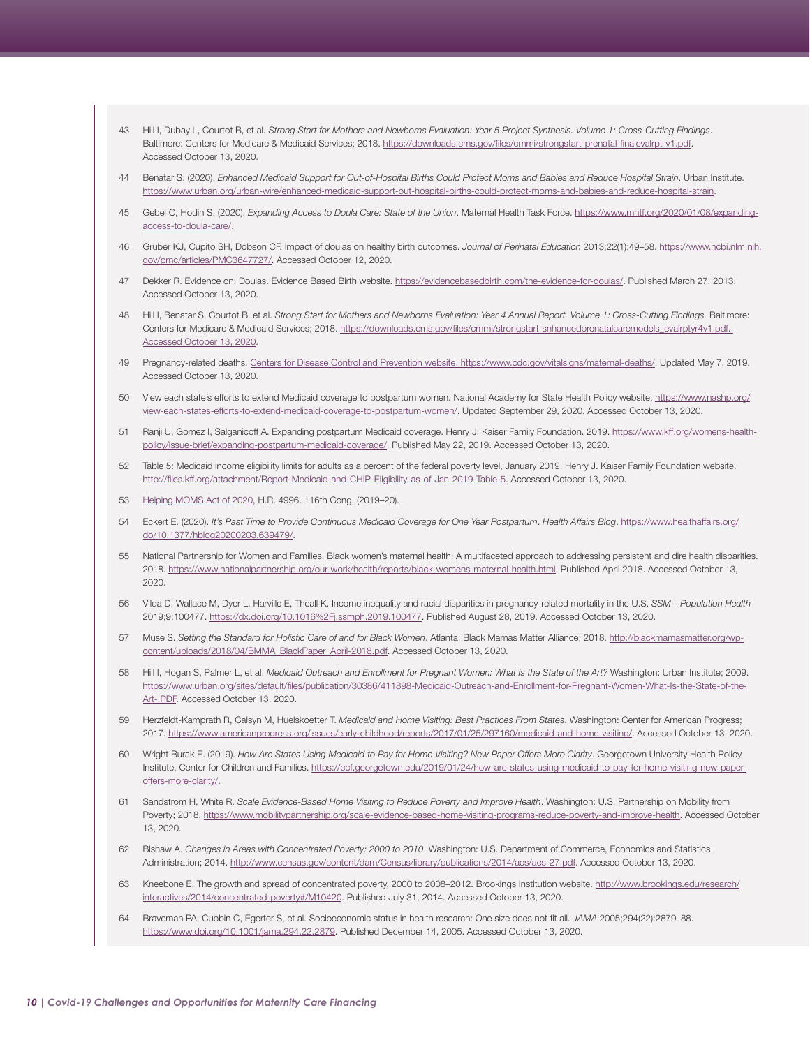- <span id="page-9-0"></span>43 Hill I, Dubay L, Courtot B, et al. *Strong Start for Mothers and Newborns Evaluation: Year 5 Project Synthesis. Volume 1: Cross-Cutting Findings*. Baltimore: Centers for Medicare & Medicaid Services; 2018. <https://downloads.cms.gov/files/cmmi/strongstart-prenatal-finalevalrpt-v1.pdf>. Accessed October 13, 2020.
- [44](#page-2-0) Benatar S. (2020). *Enhanced Medicaid Support for Out-of-Hospital Births Could Protect Moms and Babies and Reduce Hospital Strain*. Urban Institute. [https://www.urban.org/urban-wire/enhanced-medicaid-support-out-hospital-births-could-protect-moms-and-babies-and-reduce-hospital-strain.](https://www.urban.org/urban-wire/enhanced-medicaid-support-out-hospital-births-could-protect-moms-and-babies-and-reduce-hospital-strain)
- [45](#page-2-0) Gebel C, Hodin S. (2020). *Expanding Access to Doula Care: State of the Union*. Maternal Health Task Force. [https://www.mhtf.org/2020/01/08/expanding](https://www.mhtf.org/2020/01/08/expanding-access-to-doula-care/)[access-to-doula-care/.](https://www.mhtf.org/2020/01/08/expanding-access-to-doula-care/)
- [46](#page-2-0) Gruber KJ, Cupito SH, Dobson CF. Impact of doulas on healthy birth outcomes. *Journal of Perinatal Education* 2013;22(1):49–58. [https://www.ncbi.nlm.nih.](https://www.ncbi.nlm.nih.gov/pmc/articles/PMC3647727/) [gov/pmc/articles/PMC3647727](https://www.ncbi.nlm.nih.gov/pmc/articles/PMC3647727/)/. Accessed October 12, 2020.
- [47](#page-2-0) Dekker R. Evidence on: Doulas. Evidence Based Birth website. <https://evidencebasedbirth.com/the-evidence-for-doulas/>. Published March 27, 2013. Accessed October 13, 2020.
- [48](#page-2-0) Hill I, Benatar S, Courtot B. et al. Strong Start for Mothers and Newborns Evaluation: Year 4 Annual Report. Volume 1: Cross-Cutting Findings. Baltimore: Centers for Medicare & Medicaid Services; 2018. [https://downloads.cms.gov/files/cmmi/strongstart-snhancedprenatalcaremodels\\_evalrptyr4v1.pdf.](https://downloads.cms.gov/files/cmmi/strongstart-snhancedprenatalcaremodels_evalrptyr4v1.pdf) Accessed October 13, 2020.
- [49](#page-2-0) Pregnancy-related deaths. Centers for Disease Control and Prevention website.<https://www.cdc.gov/vitalsigns/maternal-deaths/>. Updated May 7, 2019. Accessed October 13, 2020.
- [50](#page-2-0) View each state's efforts to extend Medicaid coverage to postpartum women. National Academy for State Health Policy website. [https://www.nashp.org/](https://www.nashp.org/view-each-states-efforts-to-extend-medicaid-coverage-to-postpartum-women/) [view-each-states-efforts-to-extend-medicaid-coverage-to-postpartum-women/.](https://www.nashp.org/view-each-states-efforts-to-extend-medicaid-coverage-to-postpartum-women/) Updated September 29, 2020. Accessed October 13, 2020.
- [51](#page-2-0) Ranji U, Gomez I, Salganicoff A. Expanding postpartum Medicaid coverage. Henry J. Kaiser Family Foundation. 2019. [https://www.kff.org/womens-health](https://www.kff.org/womens-health-policy/issue-brief/expanding-postpartum-medicaid-coverage/)[policy/issue-brief/expanding-postpartum-medicaid-coverage/](https://www.kff.org/womens-health-policy/issue-brief/expanding-postpartum-medicaid-coverage/). Published May 22, 2019. Accessed October 13, 2020.
- [52](#page-2-0) Table 5: Medicaid income eligibility limits for adults as a percent of the federal poverty level, January 2019. Henry J. Kaiser Family Foundation website. <http://files.kff.org/attachment/Report-Medicaid-and-CHIP-Eligibility-as-of-Jan-2019-Table-5>. Accessed October 13, 2020.
- [53](#page-2-0) [Helping MOMS Act of 2020](https://www.congress.gov/bill/116th-congress/house-bill/4996/text), H.R. 4996. 116th Cong. (2019–20).
- [54](#page-2-0) Eckert E. (2020). *It's Past Time to Provide Continuous Medicaid Coverage for One Year Postpartum*. *Health Affairs Blog*. [https://www.healthaffairs.org/](https://www.healthaffairs.org/do/10.1377/hblog20200203.639479/.) [do/10.1377/hblog20200203.639479/.](https://www.healthaffairs.org/do/10.1377/hblog20200203.639479/.)
- [55](#page-2-0) National Partnership for Women and Families. Black women's maternal health: A multifaceted approach to addressing persistent and dire health disparities. 2018.<https://www.nationalpartnership.org/our-work/health/reports/black-womens-maternal-health.html>. Published April 2018. Accessed October 13, 2020.
- [56](#page-2-0) Vilda D, Wallace M, Dyer L, Harville E, Theall K. Income inequality and racial disparities in pregnancy-related mortality in the U.S. *SSM—Population Health* 2019;9:100477. [https://dx.doi.org/10.1016%2Fj.ssmph.2019.100477.](https://dx.doi.org/10.1016%2Fj.ssmph.2019.100477) Published August 28, 2019. Accessed October 13, 2020.
- [57](#page-2-0) Muse S. *Setting the Standard for Holistic Care of and for Black Women*. Atlanta: Black Mamas Matter Alliance; 2018. [http://blackmamasmatter.org/wp](http://blackmamasmatter.org/wp-content/uploads/2018/04/BMMA_BlackPaper_April-2018.pdf)[content/uploads/2018/04/BMMA\\_BlackPaper\\_April-2018.pdf](http://blackmamasmatter.org/wp-content/uploads/2018/04/BMMA_BlackPaper_April-2018.pdf). Accessed October 13, 2020.
- [58](#page-2-0) Hill I, Hogan S, Palmer L, et al. *Medicaid Outreach and Enrollment for Pregnant Women: What Is the State of the Art?* Washington: Urban Institute; 2009. [https://www.urban.org/sites/default/files/publication/30386/411898-Medicaid-Outreach-and-Enrollment-for-Pregnant-Women-What-Is-the-State-of-the-](https://www.urban.org/sites/default/files/publication/30386/411898-Medicaid-Outreach-and-Enrollment-for-Pregnant-Women-What-Is-the-State-of-the-Art-.PDF)[Art-.PDF](https://www.urban.org/sites/default/files/publication/30386/411898-Medicaid-Outreach-and-Enrollment-for-Pregnant-Women-What-Is-the-State-of-the-Art-.PDF). Accessed October 13, 2020.
- [59](#page-3-0) Herzfeldt-Kamprath R, Calsyn M, Huelskoetter T. *Medicaid and Home Visiting: Best Practices From States*. Washington: Center for American Progress; 2017. [https://www.americanprogress.org/issues/early-childhood/reports/2017/01/25/297160/medicaid-and-home-visiting/.](https://www.americanprogress.org/issues/early-childhood/reports/2017/01/25/297160/medicaid-and-home-visiting/) Accessed October 13, 2020.
- [60](#page-3-0) Wright Burak E. (2019). *How Are States Using Medicaid to Pay for Home Visiting? New Paper Offers More Clarity*. Georgetown University Health Policy Institute, Center for Children and Families. [https://ccf.georgetown.edu/2019/01/24/how-are-states-using-medicaid-to-pay-for-home-visiting-new-paper](https://ccf.georgetown.edu/2019/01/24/how-are-states-using-medicaid-to-pay-for-home-visiting-new-paper-offers-more-clarity/)[offers-more-clarity/.](https://ccf.georgetown.edu/2019/01/24/how-are-states-using-medicaid-to-pay-for-home-visiting-new-paper-offers-more-clarity/)
- [61](#page-3-0) Sandstrom H, White R. *Scale Evidence-Based Home Visiting to Reduce Poverty and Improve Health*. Washington: U.S. Partnership on Mobility from Poverty; 2018.<https://www.mobilitypartnership.org/scale-evidence-based-home-visiting-programs-reduce-poverty-and-improve-health>. Accessed October 13, 2020.
- [62](#page-3-0) Bishaw A. *Changes in Areas with Concentrated Poverty: 2000 to 2010*. Washington: U.S. Department of Commerce, Economics and Statistics Administration; 2014.<http://www.census.gov/content/dam/Census/library/publications/2014/acs/acs-27.pdf>. Accessed October 13, 2020.
- [63](#page-3-0) Kneebone E. The growth and spread of concentrated poverty, 2000 to 2008-2012. Brookings Institution website. http://www.brookings.edu/research/ interactives/2014/concentrated-poverty#/M10420. Published July 31, 2014. Accessed October 13, 2020.
- [64](#page-3-0) Braveman PA, Cubbin C, Egerter S, et al. Socioeconomic status in health research: One size does not fit all. *JAMA* 2005;294(22):2879–88. <https://www.doi.org/10.1001/jama.294.22.2879>. Published December 14, 2005. Accessed October 13, 2020.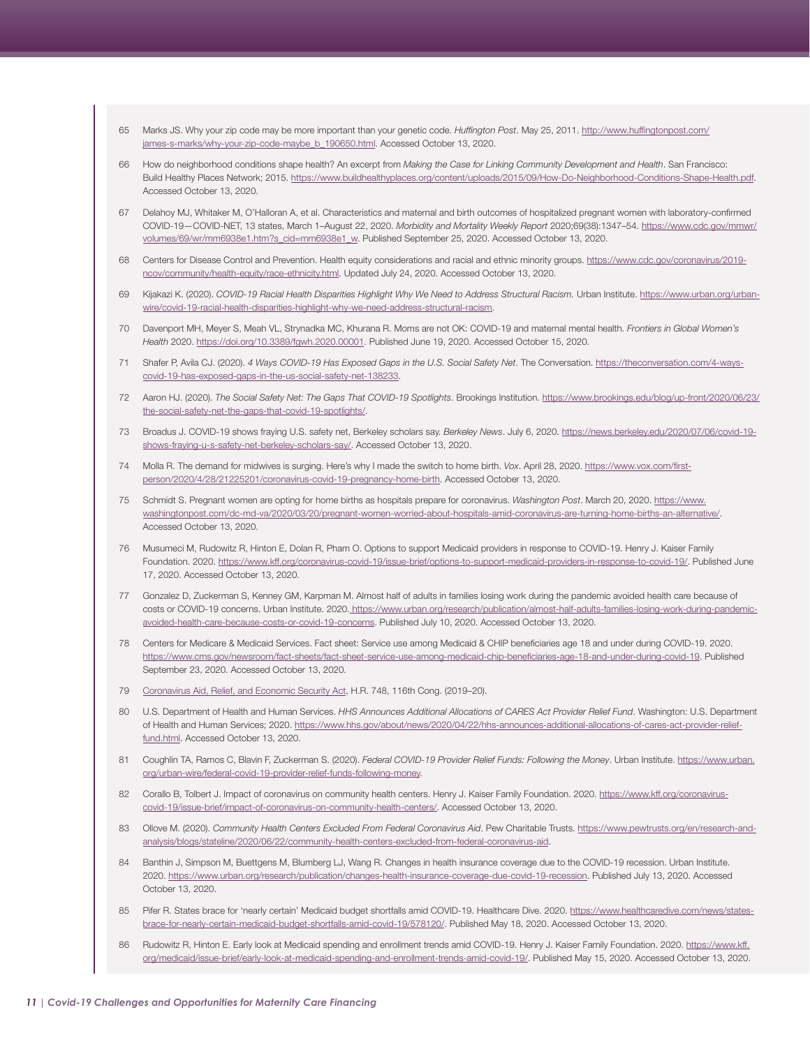- <span id="page-10-0"></span>65 Marks JS. Why your zip code may be more important than your genetic code. *Huffington Post*. May 25, 2011. [http://www.huffingtonpost.com/](http://www.huffingtonpost.com/james-s-marks/why-your-zip-code-maybe_b_190650.html) [james-s-marks/why-your-zip-code-maybe\\_b\\_190650.html.](http://www.huffingtonpost.com/james-s-marks/why-your-zip-code-maybe_b_190650.html) Accessed October 13, 2020.
- [66](#page-3-0) How do neighborhood conditions shape health? An excerpt from *Making the Case for Linking Community Development and Health*. San Francisco: Build Healthy Places Network; 2015. [https://www.buildhealthyplaces.org/content/uploads/2015/09/How-Do-Neighborhood-Conditions-Shape-Health.pdf.](https://www.buildhealthyplaces.org/content/uploads/2015/09/How-Do-Neighborhood-Conditions-Shape-Health.pdf) Accessed October 13, 2020.
- [67](#page-3-0) Delahoy MJ, Whitaker M, O'Halloran A, et al. Characteristics and maternal and birth outcomes of hospitalized pregnant women with laboratory-confirmed COVID-19—COVID-NET, 13 states, March 1–August 22, 2020. *Morbidity and Mortality Weekly Report* 2020;69(38):1347–54. [https://www.cdc.gov/mmwr/](https://www.cdc.gov/mmwr/volumes/69/wr/mm6938e1.htm?s_cid=mm6938e1_w) [volumes/69/wr/mm6938e1.htm?s\\_cid=mm6938e1\\_w](https://www.cdc.gov/mmwr/volumes/69/wr/mm6938e1.htm?s_cid=mm6938e1_w). Published September 25, 2020. Accessed October 13, 2020.
- [68](#page-3-0) Centers for Disease Control and Prevention. Health equity considerations and racial and ethnic minority groups. [https://www.cdc.gov/coronavirus/2019](https://www.cdc.gov/coronavirus/2019-ncov/community/health-equity/race-ethnicity.html) [ncov/community/health-equity/race-ethnicity.html](https://www.cdc.gov/coronavirus/2019-ncov/community/health-equity/race-ethnicity.html). Updated July 24, 2020. Accessed October 13, 2020.
- [69](#page-3-0) Kijakazi K. (2020). *COVID-19 Racial Health Disparities Highlight Why We Need to Address Structural Racism.* Urban Institute. [https://www.urban.org/urban](https://www.urban.org/urban-wire/covid-19-racial-health-disparities-highlight-why-we-need-address-structural-racism)[wire/covid-19-racial-health-disparities-highlight-why-we-need-address-structural-racism](https://www.urban.org/urban-wire/covid-19-racial-health-disparities-highlight-why-we-need-address-structural-racism).
- [70](#page-3-0) Davenport MH, Meyer S, Meah VL, Strynadka MC, Khurana R. Moms are not OK: COVID-19 and maternal mental health. *Frontiers in Global Women's Health* 2020. <https://doi.org/10.3389/fgwh.2020.00001>. Published June 19, 2020. Accessed October 15, 2020.
- [71](#page-3-0) Shafer P, Avila CJ. (2020). *4 Ways COVID-19 Has Exposed Gaps in the U.S. Social Safety Net*. The Conversation. [https://theconversation.com/4-ways](https://theconversation.com/4-ways-covid-19-has-exposed-gaps-in-the-us-social-safety-net-138233)[covid-19-has-exposed-gaps-in-the-us-social-safety-net-138233](https://theconversation.com/4-ways-covid-19-has-exposed-gaps-in-the-us-social-safety-net-138233).
- 72 Aaron HJ. (2020). *The Social Safety Net: The Gaps That COVID-19 Spotlights*. Brookings Institution. [https://www.brookings.edu/blog/up-front/2020/06/23/](https://www.brookings.edu/blog/up-front/2020/06/23/the-social-safety-net-the-gaps-that-covid-19-spotlights/) [the-social-safety-net-the-gaps-that-covid-19-spotlights/](https://www.brookings.edu/blog/up-front/2020/06/23/the-social-safety-net-the-gaps-that-covid-19-spotlights/).
- [73](#page-3-0) Broadus J. COVID-19 shows fraying U.S. safety net, Berkeley scholars say. *Berkeley News*. July 6, 2020. [https://news.berkeley.edu/2020/07/06/covid-19](https://news.berkeley.edu/2020/07/06/covid-19-shows-fraying-u-s-safety-net-berkeley-scholars-say/) [shows-fraying-u-s-safety-net-berkeley-scholars-say/](https://news.berkeley.edu/2020/07/06/covid-19-shows-fraying-u-s-safety-net-berkeley-scholars-say/). Accessed October 13, 2020.
- [74](#page-3-0) Molla R. The demand for midwives is surging. Here's why I made the switch to home birth. *Vox*. April 28, 2020. [https://www.vox.com/first](https://www.vox.com/first-person/2020/4/28/21225201/coronavirus-covid-19-pregnancy-home-birth)[person/2020/4/28/21225201/coronavirus-covid-19-pregnancy-home-birth.](https://www.vox.com/first-person/2020/4/28/21225201/coronavirus-covid-19-pregnancy-home-birth) Accessed October 13, 2020.
- [75](#page-3-0) Schmidt S. Pregnant women are opting for home births as hospitals prepare for coronavirus. *Washington Post*. March 20, 2020. [https://www.](https://www.washingtonpost.com/dc-md-va/2020/03/20/pregnant-women-worried-about-hospitals-amid-coronavirus-are-turning-home-births-an-alternative/) [washingtonpost.com/dc-md-va/2020/03/20/pregnant-women-worried-about-hospitals-amid-coronavirus-are-turning-home-births-an-alternative/](https://www.washingtonpost.com/dc-md-va/2020/03/20/pregnant-women-worried-about-hospitals-amid-coronavirus-are-turning-home-births-an-alternative/). Accessed October 13, 2020.
- [76](#page-3-0) Musumeci M, Rudowitz R, Hinton E, Dolan R, Pham O. Options to support Medicaid providers in response to COVID-19. Henry J. Kaiser Family Foundation. 2020. [https://www.kff.org/coronavirus-covid-19/issue-brief/options-to-support-medicaid-providers-in-response-to-covid-19/.](https://www.kff.org/coronavirus-covid-19/issue-brief/options-to-support-medicaid-providers-in-response-to-covid-19/) Published June 17, 2020. Accessed October 13, 2020.
- [77](#page-3-0) Gonzalez D, Zuckerman S, Kenney GM, Karpman M. Almost half of adults in families losing work during the pandemic avoided health care because of costs or COVID-19 concerns. Urban Institute. 2020. [https://www.urban.org/research/publication/almost-half-adults-families-losing-work-during-pandemic](https://www.urban.org/research/publication/almost-half-adults-families-losing-work-during-pandemic-avoided-health-care-because-costs-or-covid-19-concerns)[avoided-health-care-because-costs-or-covid-19-concerns](https://www.urban.org/research/publication/almost-half-adults-families-losing-work-during-pandemic-avoided-health-care-because-costs-or-covid-19-concerns). Published July 10, 2020. Accessed October 13, 2020.
- [78](#page-3-0) Centers for Medicare & Medicaid Services. Fact sheet: Service use among Medicaid & CHIP beneficiaries age 18 and under during COVID-19. 2020. <https://www.cms.gov/newsroom/fact-sheets/fact-sheet-service-use-among-medicaid-chip-beneficiaries-age-18-and-under-during-covid-19>. Published September 23, 2020. Accessed October 13, 2020.
- [79](#page-3-0) [Coronavirus Aid, Relief, and Economic Security Act,](https://www.congress.gov/bill/116th-congress/house-bill/748) H.R. 748, 116th Cong. (2019–20).
- [80](#page-3-0) U.S. Department of Health and Human Services. *HHS Announces Additional Allocations of CARES Act Provider Relief Fund*. Washington: U.S. Department of Health and Human Services; 2020. [https://www.hhs.gov/about/news/2020/04/22/hhs-announces-additional-allocations-of-cares-act-provider-relief](https://www.hhs.gov/about/news/2020/04/22/hhs-announces-additional-allocations-of-cares-act-provider-relief-fund.html)[fund.html](https://www.hhs.gov/about/news/2020/04/22/hhs-announces-additional-allocations-of-cares-act-provider-relief-fund.html). Accessed October 13, 2020.
- [81](#page-3-0) Coughlin TA, Ramos C, Blavin F, Zuckerman S. (2020). *Federal COVID-19 Provider Relief Funds: Following the Money*. Urban Institute. [https://www.urban.](https://www.urban.org/urban-wire/federal-covid-19-provider-relief-funds-following-money) [org/urban-wire/federal-covid-19-provider-relief-funds-following-money.](https://www.urban.org/urban-wire/federal-covid-19-provider-relief-funds-following-money)
- [82](#page-4-0) Corallo B, Tolbert J. Impact of coronavirus on community health centers. Henry J. Kaiser Family Foundation. 2020. [https://www.kff.org/coronavirus](https://www.kff.org/coronavirus-covid-19/issue-brief/impact-of-coronavirus-on-community-health-centers/)[covid-19/issue-brief/impact-of-coronavirus-on-community-health-centers/](https://www.kff.org/coronavirus-covid-19/issue-brief/impact-of-coronavirus-on-community-health-centers/). Accessed October 13, 2020.
- [83](#page-4-0) Ollove M. (2020). *Community Health Centers Excluded From Federal Coronavirus Aid.* Pew Charitable Trusts. [https://www.pewtrusts.org/en/research-and](https://www.pewtrusts.org/en/research-and-analysis/blogs/stateline/2020/06/22/community-health-centers-excluded-from-federal-coronavirus-aid)[analysis/blogs/stateline/2020/06/22/community-health-centers-excluded-from-federal-coronavirus-aid.](https://www.pewtrusts.org/en/research-and-analysis/blogs/stateline/2020/06/22/community-health-centers-excluded-from-federal-coronavirus-aid)
- [84](#page-4-0) Banthin J, Simpson M, Buettgens M, Blumberg LJ, Wang R. Changes in health insurance coverage due to the COVID-19 recession. Urban Institute. 2020. [https://www.urban.org/research/publication/changes-health-insurance-coverage-due-covid-19-recession.](https://www.urban.org/research/publication/changes-health-insurance-coverage-due-covid-19-recession) Published July 13, 2020. Accessed October 13, 2020.
- [85](#page-4-0) Pifer R. States brace for 'nearly certain' Medicaid budget shortfalls amid COVID-19. Healthcare Dive. 2020. [https://www.healthcaredive.com/news/states](https://www.healthcaredive.com/news/states-brace-for-nearly-certain-medicaid-budget-shortfalls-amid-covid-19/578120/)[brace-for-nearly-certain-medicaid-budget-shortfalls-amid-covid-19/578120/](https://www.healthcaredive.com/news/states-brace-for-nearly-certain-medicaid-budget-shortfalls-amid-covid-19/578120/). Published May 18, 2020. Accessed October 13, 2020.
- 86 Rudowitz R, Hinton E. Early look at Medicaid spending and enrollment trends amid COVID-19. Henry J. Kaiser Family Foundation. 2020. [https://www.kff.](https://www.kff.org/medicaid/issue-brief/early-look-at-medicaid-spending-and-enrollment-trends-amid-covid-19/) [org/medicaid/issue-brief/early-look-at-medicaid-spending-and-enrollment-trends-amid-covid-19/](https://www.kff.org/medicaid/issue-brief/early-look-at-medicaid-spending-and-enrollment-trends-amid-covid-19/). Published May 15, 2020. Accessed October 13, 2020.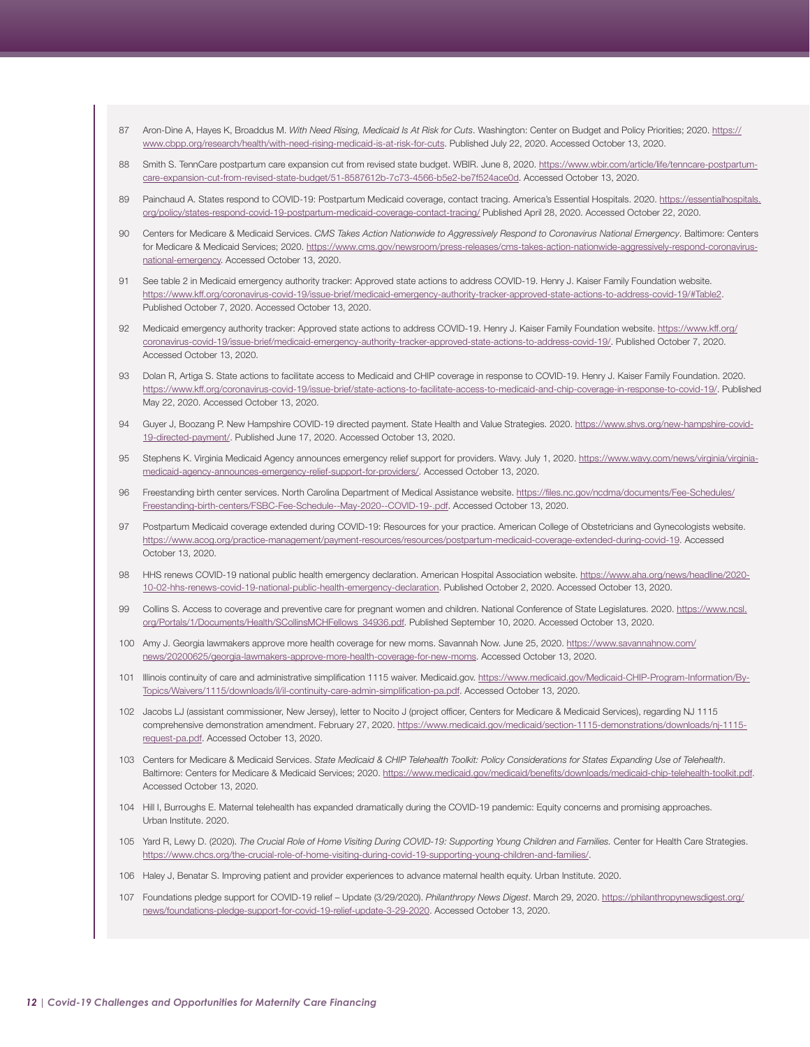- <span id="page-11-0"></span>[87](#page-4-0) Aron-Dine A, Hayes K, Broaddus M. *With Need Rising, Medicaid Is At Risk for Cuts*. Washington: Center on Budget and Policy Priorities; 2020. [https://](https://www.cbpp.org/research/health/with-need-rising-medicaid-is-at-risk-for-cuts) [www.cbpp.org/research/health/with-need-rising-medicaid-is-at-risk-for-cuts](https://www.cbpp.org/research/health/with-need-rising-medicaid-is-at-risk-for-cuts). Published July 22, 2020. Accessed October 13, 2020.
- [88](#page-4-0) Smith S. TennCare postpartum care expansion cut from revised state budget. WBIR. June 8, 2020. [https://www.wbir.com/article/life/tenncare-postpartum](https://www.wbir.com/article/life/tenncare-postpartum-care-expansion-cut-from-revised-state-budget/51-8587612b-7c73-4566-b5e2-be7f524ace0d)[care-expansion-cut-from-revised-state-budget/51-8587612b-7c73-4566-b5e2-be7f524ace0d](https://www.wbir.com/article/life/tenncare-postpartum-care-expansion-cut-from-revised-state-budget/51-8587612b-7c73-4566-b5e2-be7f524ace0d). Accessed October 13, 2020.
- [89](#page-4-0) Painchaud A. States respond to COVID-19: Postpartum Medicaid coverage, contact tracing. America's Essential Hospitals. 2020. [https://essentialhospitals.](https://essentialhospitals.org/policy/states-respond-covid-19-postpartum-medicaid-coverage-contact-t) [org/policy/states-respond-covid-19-postpartum-medicaid-coverage-contact-tracing/](https://essentialhospitals.org/policy/states-respond-covid-19-postpartum-medicaid-coverage-contact-t) Published April 28, 2020. Accessed October 22, 2020.
- [90](#page-4-0) Centers for Medicare & Medicaid Services. *CMS Takes Action Nationwide to Aggressively Respond to Coronavirus National Emergency*. Baltimore: Centers for Medicare & Medicaid Services; 2020. [https://www.cms.gov/newsroom/press-releases/cms-takes-action-nationwide-aggressively-respond-coronavirus](https://www.cms.gov/newsroom/press-releases/cms-takes-action-nationwide-aggressively-respond-coronavirus-national-emergency)[national-emergency.](https://www.cms.gov/newsroom/press-releases/cms-takes-action-nationwide-aggressively-respond-coronavirus-national-emergency) Accessed October 13, 2020.
- [91](#page-4-0) See table 2 in Medicaid emergency authority tracker: Approved state actions to address COVID-19. Henry J. Kaiser Family Foundation website. https://www.kff.org/coronavirus-covid-19/issue-brief/medicaid-emergency-authority-tracker-approved-state-actions-to-address-covid-19/#Table2. Published October 7, 2020. Accessed October 13, 2020.
- [92](#page-4-0) Medicaid emergency authority tracker: Approved state actions to address COVID-19. Henry J. Kaiser Family Foundation website. [https://www.kff.org/](https://www.kff.org/coronavirus-covid-19/issue-brief/medicaid-emergency-authority-tracker-approved-state-actions-to-address-covid-19/) [coronavirus-covid-19/issue-brief/medicaid-emergency-authority-tracker-approved-state-actions-to-address-covid-19/.](https://www.kff.org/coronavirus-covid-19/issue-brief/medicaid-emergency-authority-tracker-approved-state-actions-to-address-covid-19/) Published October 7, 2020. Accessed October 13, 2020.
- [93](#page-4-0) Dolan R, Artiga S. State actions to facilitate access to Medicaid and CHIP coverage in response to COVID-19. Henry J. Kaiser Family Foundation. 2020. <https://www.kff.org/coronavirus-covid-19/issue-brief/state-actions-to-facilitate-access-to-medicaid-and-chip-coverage-in-response-to-covid-19/>. Published May 22, 2020. Accessed October 13, 2020.
- [94](#page-4-0) Guyer J, Boozang P. New Hampshire COVID-19 directed payment. State Health and Value Strategies. 2020. [https://www.shvs.org/new-hampshire-covid-](https://www.shvs.org/new-hampshire-covid-19-directed-payment/)[19-directed-payment/.](https://www.shvs.org/new-hampshire-covid-19-directed-payment/) Published June 17, 2020. Accessed October 13, 2020.
- [95](#page-4-0) Stephens K. Virginia Medicaid Agency announces emergency relief support for providers. Wavy. July 1, 2020. [https://www.wavy.com/news/virginia/virginia](https://www.wavy.com/news/virginia/virginia-medicaid-agency-announces-emergency-relief-support-for-providers/)[medicaid-agency-announces-emergency-relief-support-for-providers/.](https://www.wavy.com/news/virginia/virginia-medicaid-agency-announces-emergency-relief-support-for-providers/) Accessed October 13, 2020.
- [96](#page-4-0) Freestanding birth center services. North Carolina Department of Medical Assistance website. [https://files.nc.gov/ncdma/documents/Fee-Schedules/](https://files.nc.gov/ncdma/documents/Fee-Schedules/Freestanding-birth-centers/FSBC-Fee-Schedule--May-2020--COVID-19-.pdf) [Freestanding-birth-centers/FSBC-Fee-Schedule--May-2020--COVID-19-.pdf.](https://files.nc.gov/ncdma/documents/Fee-Schedules/Freestanding-birth-centers/FSBC-Fee-Schedule--May-2020--COVID-19-.pdf) Accessed October 13, 2020.
- [97](#page-4-0) Postpartum Medicaid coverage extended during COVID-19: Resources for your practice. American College of Obstetricians and Gynecologists website. [https://www.acog.org/practice-management/payment-resources/resources/postpartum-medicaid-coverage-extended-during-covid-19.](https://www.acog.org/practice-management/payment-resources/resources/postpartum-medicaid-coverage-extended-during-covid-19) Accessed October 13, 2020.
- [98](#page-4-0) HHS renews COVID-19 national public health emergency declaration. American Hospital Association website. [https://www.aha.org/news/headline/2020-](https://www.aha.org/news/headline/2020-10-02-hhs-renews-covid-19-national-public-health-emergency-declaration) [10-02-hhs-renews-covid-19-national-public-health-emergency-declaration.](https://www.aha.org/news/headline/2020-10-02-hhs-renews-covid-19-national-public-health-emergency-declaration) Published October 2, 2020. Accessed October 13, 2020.
- [99](#page-4-0) Collins S. Access to coverage and preventive care for pregnant women and children. National Conference of State Legislatures. 2020. [https://www.ncsl.](https://www.ncsl.org/Portals/1/Documents/Health/SCollinsMCHFellows_34936.pdf) [org/Portals/1/Documents/Health/SCollinsMCHFellows\\_34936.pdf.](https://www.ncsl.org/Portals/1/Documents/Health/SCollinsMCHFellows_34936.pdf) Published September 10, 2020. Accessed October 13, 2020.
- [100](#page-4-0) Amy J. Georgia lawmakers approve more health coverage for new moms. Savannah Now. June 25, 2020. [https://www.savannahnow.com/](https://www.savannahnow.com/news/20200625/georgia-lawmakers-approve-more-health-coverage-for-new-moms) [news/20200625/georgia-lawmakers-approve-more-health-coverage-for-new-moms](https://www.savannahnow.com/news/20200625/georgia-lawmakers-approve-more-health-coverage-for-new-moms). Accessed October 13, 2020.
- [101](#page-4-0) Illinois continuity of care and administrative simplification 1115 waiver. Medicaid.gov. [https://www.medicaid.gov/Medicaid-CHIP-Program-Information/By-](https://www.medicaid.gov/Medicaid-CHIP-Program-Information/By-Topics/Waivers/1115/downloads/il/il-continuity-care-admin-simplification-pa.pdf)[Topics/Waivers/1115/downloads/il/il-continuity-care-admin-simplification-pa.pdf](https://www.medicaid.gov/Medicaid-CHIP-Program-Information/By-Topics/Waivers/1115/downloads/il/il-continuity-care-admin-simplification-pa.pdf). Accessed October 13, 2020.
- [102](#page-4-0) Jacobs LJ (assistant commissioner, New Jersey), letter to Nocito J (project officer, Centers for Medicare & Medicaid Services), regarding NJ 1115 comprehensive demonstration amendment. February 27, 2020. [https://www.medicaid.gov/medicaid/section-1115-demonstrations/downloads/nj-1115](https://www.medicaid.gov/medicaid/section-1115-demonstrations/downloads/nj-1115-request-pa.pdf) [request-pa.pdf.](https://www.medicaid.gov/medicaid/section-1115-demonstrations/downloads/nj-1115-request-pa.pdf) Accessed October 13, 2020.
- [103](#page-4-0) Centers for Medicare & Medicaid Services. *State Medicaid & CHIP Telehealth Toolkit: Policy Considerations for States Expanding Use of Telehealth*. Baltimore: Centers for Medicare & Medicaid Services; 2020. [https://www.medicaid.gov/medicaid/benefits/downloads/medicaid-chip-telehealth-toolkit.pdf.](https://www.medicaid.gov/medicaid/benefits/downloads/medicaid-chip-telehealth-toolkit.pdf) Accessed October 13, 2020.
- [104](#page-4-0) Hill I, Burroughs E. Maternal telehealth has expanded dramatically during the COVID-19 pandemic: Equity concerns and promising approaches. Urban Institute. 2020.
- [105](#page-4-0) Yard R, Lewy D. (2020). *The Crucial Role of Home Visiting During COVID-19: Supporting Young Children and Families.* Center for Health Care Strategies. <https://www.chcs.org/the-crucial-role-of-home-visiting-during-covid-19-supporting-young-children-and-families/>.
- [106](#page-4-0) Haley J, Benatar S. Improving patient and provider experiences to advance maternal health equity. Urban Institute. 2020.
- 107 Foundations pledge support for COVID-19 relief Update (3/29/2020). *Philanthropy News Digest*. March 29, 2020. [https://philanthropynewsdigest.org/](https://philanthropynewsdigest.org/news/foundations-pledge-support-for-covid-19-relief-update-3-29-2020) [news/foundations-pledge-support-for-covid-19-relief-update-3-29-2020.](https://philanthropynewsdigest.org/news/foundations-pledge-support-for-covid-19-relief-update-3-29-2020) Accessed October 13, 2020.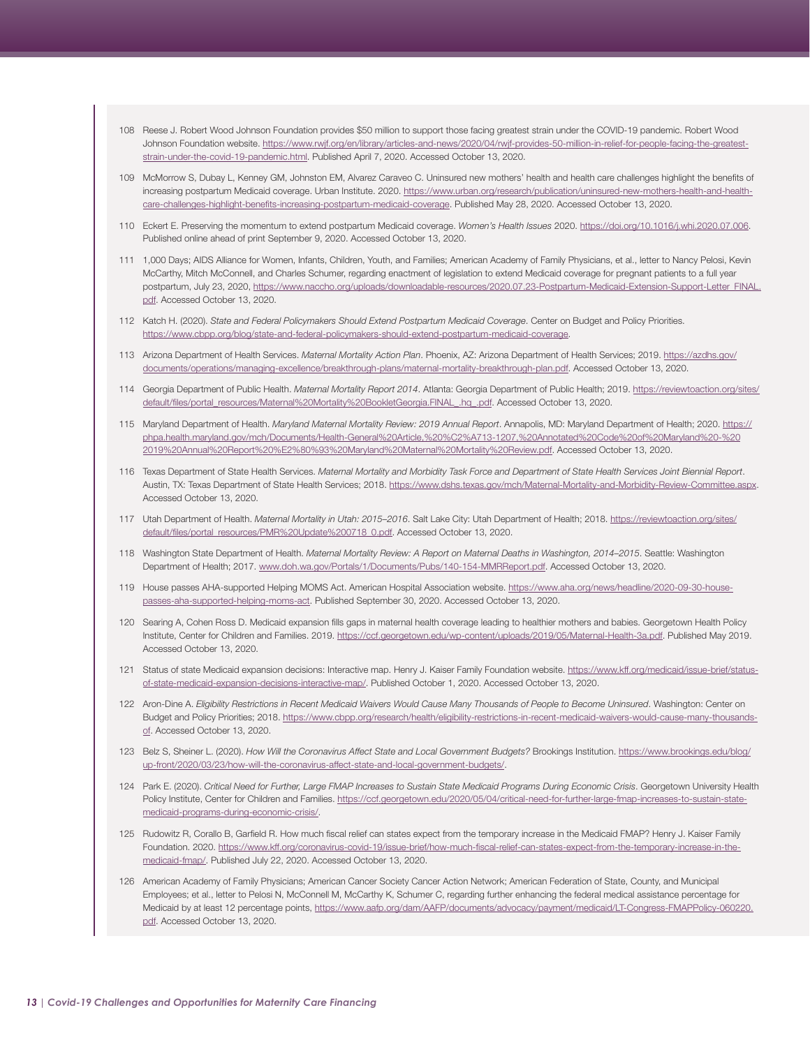- <span id="page-12-0"></span>[108](#page-4-0) Reese J. Robert Wood Johnson Foundation provides \$50 million to support those facing greatest strain under the COVID-19 pandemic. Robert Wood Johnson Foundation website. [https://www.rwjf.org/en/library/articles-and-news/2020/04/rwjf-provides-50-million-in-relief-for-people-facing-the-greatest](https://www.rwjf.org/en/library/articles-and-news/2020/04/rwjf-provides-50-million-in-relief-for-people-facing-the-greatest-strain-under-the-covid-19-pandemic.html)[strain-under-the-covid-19-pandemic.html](https://www.rwjf.org/en/library/articles-and-news/2020/04/rwjf-provides-50-million-in-relief-for-people-facing-the-greatest-strain-under-the-covid-19-pandemic.html). Published April 7, 2020. Accessed October 13, 2020.
- [109](#page-5-0) McMorrow S, Dubay L, Kenney GM, Johnston EM, Alvarez Caraveo C. Uninsured new mothers' health and health care challenges highlight the benefits of increasing postpartum Medicaid coverage. Urban Institute. 2020. [https://www.urban.org/research/publication/uninsured-new-mothers-health-and-health](https://www.urban.org/research/publication/uninsured-new-mothers-health-and-health-care-challenges-highlight-benefits-increasing-postpartum-medicaid-coverage)[care-challenges-highlight-benefits-increasing-postpartum-medicaid-coverage.](https://www.urban.org/research/publication/uninsured-new-mothers-health-and-health-care-challenges-highlight-benefits-increasing-postpartum-medicaid-coverage) Published May 28, 2020. Accessed October 13, 2020.
- [110](#page-5-0) Eckert E. Preserving the momentum to extend postpartum Medicaid coverage. *Women's Health Issues* 2020. [https://doi.org/10.1016/j.whi.2020.07.006.](https://doi.org/10.1016/j.whi.2020.07.006) Published online ahead of print September 9, 2020. Accessed October 13, 2020.
- 111 1,000 Days; AIDS Alliance for Women, Infants, Children, Youth, and Families; American Academy of Family Physicians, et al., letter to Nancy Pelosi, Kevin McCarthy, Mitch McConnell, and Charles Schumer, regarding enactment of legislation to extend Medicaid coverage for pregnant patients to a full year postpartum, July 23, 2020, [https://www.naccho.org/uploads/downloadable-resources/2020.07.23-Postpartum-Medicaid-Extension-Support-Letter\\_FINAL.](https://www.naccho.org/uploads/downloadable-resources/2020.07.23-Postpartum-Medicaid-Extension-Support-Letter_FINAL.pdf) [pdf.](https://www.naccho.org/uploads/downloadable-resources/2020.07.23-Postpartum-Medicaid-Extension-Support-Letter_FINAL.pdf) Accessed October 13, 2020.
- [112](#page-5-0) Katch H. (2020). *State and Federal Policymakers Should Extend Postpartum Medicaid Coverage*. Center on Budget and Policy Priorities. [https://www.cbpp.org/blog/state-and-federal-policymakers-should-extend-postpartum-medicaid-coverage.](https://www.cbpp.org/blog/state-and-federal-policymakers-should-extend-postpartum-medicaid-coverage)
- [113](#page-5-0) Arizona Department of Health Services. *Maternal Mortality Action Plan*. Phoenix, AZ: Arizona Department of Health Services; 2019. [https://azdhs.gov/](https://azdhs.gov/documents/operations/managing-excellence/breakthrough-plans/maternal-mortality-breakthrough-plan.pdf) [documents/operations/managing-excellence/breakthrough-plans/maternal-mortality-breakthrough-plan.pdf.](https://azdhs.gov/documents/operations/managing-excellence/breakthrough-plans/maternal-mortality-breakthrough-plan.pdf) Accessed October 13, 2020.
- 114 Georgia Department of Public Health. *Maternal Mortality Report 2014*. Atlanta: Georgia Department of Public Health; 2019. [https://reviewtoaction.org/sites/](https://reviewtoaction.org/sites/default/files/portal_resources/Maternal%20Mortality%20BookletGeorgia.FINAL_.hq_.pdf) [default/files/portal\\_resources/Maternal%20Mortality%20BookletGeorgia.FINAL\\_.hq\\_.pdf.](https://reviewtoaction.org/sites/default/files/portal_resources/Maternal%20Mortality%20BookletGeorgia.FINAL_.hq_.pdf) Accessed October 13, 2020.
- 115 Maryland Department of Health. *Maryland Maternal Mortality Review: 2019 Annual Report*. Annapolis, MD: Maryland Department of Health; 2020. [https://](https://phpa.health.maryland.gov/mch/Documents/Health-General%20Article,%20%C2%A713-1207,%20Annotated%20Code%20of%20Maryland%20-%202019%20Annual%20Report%20%E2%80%93%20Maryland%20Maternal%20Mortality%20Review.pdf) [phpa.health.maryland.gov/mch/Documents/Health-General%20Article,%20%C2%A713-1207,%20Annotated%20Code%20of%20Maryland%20-%20](https://phpa.health.maryland.gov/mch/Documents/Health-General%20Article,%20%C2%A713-1207,%20Annotated%20Code%20of%20Maryland%20-%202019%20Annual%20Report%20%E2%80%93%20Maryland%20Maternal%20Mortality%20Review.pdf) [2019%20Annual%20Report%20%E2%80%93%20Maryland%20Maternal%20Mortality%20Review.pdf](https://phpa.health.maryland.gov/mch/Documents/Health-General%20Article,%20%C2%A713-1207,%20Annotated%20Code%20of%20Maryland%20-%202019%20Annual%20Report%20%E2%80%93%20Maryland%20Maternal%20Mortality%20Review.pdf). Accessed October 13, 2020.
- 116 Texas Department of State Health Services. *Maternal Mortality and Morbidity Task Force and Department of State Health Services Joint Biennial Report*. Austin, TX: Texas Department of State Health Services; 2018. [https://www.dshs.texas.gov/mch/Maternal-Mortality-and-Morbidity-Review-Committee.aspx.](https://www.dshs.texas.gov/mch/Maternal-Mortality-and-Morbidity-Review-Committee.aspx) Accessed October 13, 2020.
- 117 Utah Department of Health. *Maternal Mortality in Utah: 2015–2016*. Salt Lake City: Utah Department of Health; 2018. [https://reviewtoaction.org/sites/](https://reviewtoaction.org/sites/default/files/portal_resources/PMR%20Update%200718_0.pdf) [default/files/portal\\_resources/PMR%20Update%200718\\_0.pdf.](https://reviewtoaction.org/sites/default/files/portal_resources/PMR%20Update%200718_0.pdf) Accessed October 13, 2020.
- [118](#page-5-0) Washington State Department of Health. *Maternal Mortality Review: A Report on Maternal Deaths in Washington, 2014–2015*. Seattle: Washington Department of Health; 2017. [www.doh.wa.gov/Portals/1/Documents/Pubs/140-154-MMRReport.pdf](http://www.doh.wa.gov/Portals/1/Documents/Pubs/140-154-MMRReport.pdf). Accessed October 13, 2020.
- [119](#page-5-0) House passes AHA-supported Helping MOMS Act. American Hospital Association website. [https://www.aha.org/news/headline/2020-09-30-house](https://www.aha.org/news/headline/2020-09-30-house-passes-aha-supported-helping-moms-act)[passes-aha-supported-helping-moms-act](https://www.aha.org/news/headline/2020-09-30-house-passes-aha-supported-helping-moms-act). Published September 30, 2020. Accessed October 13, 2020.
- [120](#page-5-0) Searing A, Cohen Ross D. Medicaid expansion fills gaps in maternal health coverage leading to healthier mothers and babies. Georgetown Health Policy Institute, Center for Children and Families. 2019. [https://ccf.georgetown.edu/wp-content/uploads/2019/05/Maternal-Health-3a.pdf.](https://ccf.georgetown.edu/wp-content/uploads/2019/05/Maternal-Health-3a.pdf) Published May 2019. Accessed October 13, 2020.
- [121](#page-5-0) Status of state Medicaid expansion decisions: Interactive map. Henry J. Kaiser Family Foundation website. [https://www.kff.org/medicaid/issue-brief/status](https://www.kff.org/medicaid/issue-brief/status-of-state-medicaid-expansion-decisions-interactive-map/)[of-state-medicaid-expansion-decisions-interactive-map/.](https://www.kff.org/medicaid/issue-brief/status-of-state-medicaid-expansion-decisions-interactive-map/) Published October 1, 2020. Accessed October 13, 2020.
- [122](#page-5-0) Aron-Dine A. *Eligibility Restrictions in Recent Medicaid Waivers Would Cause Many Thousands of People to Become Uninsured*. Washington: Center on Budget and Policy Priorities; 2018. [https://www.cbpp.org/research/health/eligibility-restrictions-in-recent-medicaid-waivers-would-cause-many-thousands](https://www.cbpp.org/research/health/eligibility-restrictions-in-recent-medicaid-waivers-would-cause-many-thousands-of)[of.](https://www.cbpp.org/research/health/eligibility-restrictions-in-recent-medicaid-waivers-would-cause-many-thousands-of) Accessed October 13, 2020.
- [123](#page-5-0) Belz S, Sheiner L. (2020). *How Will the Coronavirus Affect State and Local Government Budgets?* Brookings Institution. [https://www.brookings.edu/blog/](https://www.brookings.edu/blog/up-front/2020/03/23/how-will-the-coronavirus-affect-state-and-local-government-budgets/) [up-front/2020/03/23/how-will-the-coronavirus-affect-state-and-local-government-budgets/](https://www.brookings.edu/blog/up-front/2020/03/23/how-will-the-coronavirus-affect-state-and-local-government-budgets/).
- [124](#page-5-0) Park E. (2020). *Critical Need for Further, Large FMAP Increases to Sustain State Medicaid Programs During Economic Crisis*. Georgetown University Health Policy Institute, Center for Children and Families. [https://ccf.georgetown.edu/2020/05/04/critical-need-for-further-large-fmap-increases-to-sustain-state](https://ccf.georgetown.edu/2020/05/04/critical-need-for-further-large-fmap-increases-to-sustain-state-medicaid-programs-during-economic-crisis/)[medicaid-programs-during-economic-crisis/.](https://ccf.georgetown.edu/2020/05/04/critical-need-for-further-large-fmap-increases-to-sustain-state-medicaid-programs-during-economic-crisis/)
- [125](#page-5-0) Rudowitz R, Corallo B, Garfield R. How much fiscal relief can states expect from the temporary increase in the Medicaid FMAP? Henry J. Kaiser Family Foundation. 2020. [https://www.kff.org/coronavirus-covid-19/issue-brief/how-much-fiscal-relief-can-states-expect-from-the-temporary-increase-in-the](https://www.kff.org/coronavirus-covid-19/issue-brief/how-much-fiscal-relief-can-states-expect-from-the-temporary-increase-in-the-medicaid-fmap/)[medicaid-fmap/.](https://www.kff.org/coronavirus-covid-19/issue-brief/how-much-fiscal-relief-can-states-expect-from-the-temporary-increase-in-the-medicaid-fmap/) Published July 22, 2020. Accessed October 13, 2020.
- [126](#page-5-0) American Academy of Family Physicians; American Cancer Society Cancer Action Network; American Federation of State, County, and Municipal Employees; et al., letter to Pelosi N, McConnell M, McCarthy K, Schumer C, regarding further enhancing the federal medical assistance percentage for Medicaid by at least 12 percentage points, [https://www.aafp.org/dam/AAFP/documents/advocacy/payment/medicaid/LT-Congress-FMAPPolicy-060220.](https://www.aafp.org/dam/AAFP/documents/advocacy/payment/medicaid/LT-Congress-FMAPPolicy-060220.pdf) [pdf.](https://www.aafp.org/dam/AAFP/documents/advocacy/payment/medicaid/LT-Congress-FMAPPolicy-060220.pdf) Accessed October 13, 2020.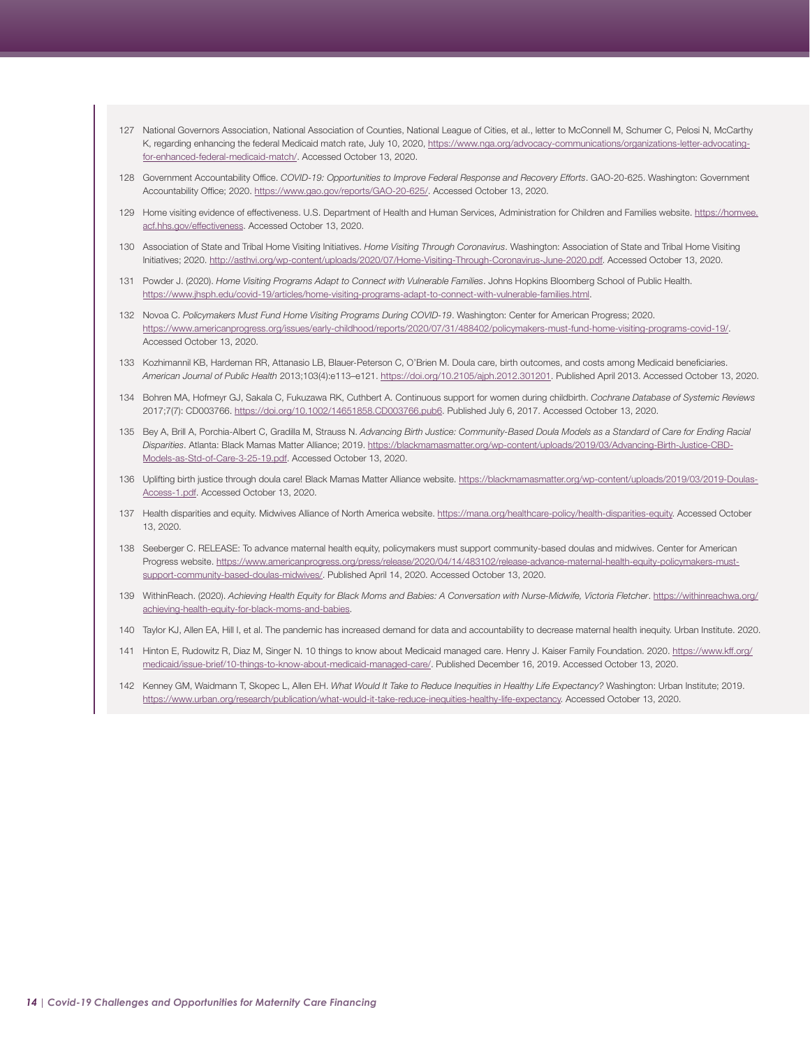- <span id="page-13-0"></span>[127](#page-5-0) National Governors Association, National Association of Counties, National League of Cities, et al., letter to McConnell M, Schumer C, Pelosi N, McCarthy K, regarding enhancing the federal Medicaid match rate, July 10, 2020, [https://www.nga.org/advocacy-communications/organizations-letter-advocating](https://www.nga.org/advocacy-communications/organizations-letter-advocating-for-enhanced-federal-medicaid-match/)[for-enhanced-federal-medicaid-match/.](https://www.nga.org/advocacy-communications/organizations-letter-advocating-for-enhanced-federal-medicaid-match/) Accessed October 13, 2020.
- [128](#page-5-0) Government Accountability Office. *COVID-19: Opportunities to Improve Federal Response and Recovery Efforts*. GAO-20-625. Washington: Government Accountability Office; 2020. [https://www.gao.gov/reports/GAO-20-625/.](https://www.gao.gov/reports/GAO-20-625/) Accessed October 13, 2020.
- [129](#page-5-0) Home visiting evidence of effectiveness. U.S. Department of Health and Human Services, Administration for Children and Families website. [https://homvee.](https://homvee.acf.hhs.gov/effectiveness) [acf.hhs.gov/effectiveness.](https://homvee.acf.hhs.gov/effectiveness) Accessed October 13, 2020.
- [130](#page-5-0) Association of State and Tribal Home Visiting Initiatives. *Home Visiting Through Coronavirus*. Washington: Association of State and Tribal Home Visiting Initiatives; 2020. <http://asthvi.org/wp-content/uploads/2020/07/Home-Visiting-Through-Coronavirus-June-2020.pdf>. Accessed October 13, 2020.
- [131](#page-5-0) Powder J. (2020). *Home Visiting Programs Adapt to Connect with Vulnerable Families*. Johns Hopkins Bloomberg School of Public Health. [https://www.jhsph.edu/covid-19/articles/home-visiting-programs-adapt-to-connect-with-vulnerable-families.html.](https://www.jhsph.edu/covid-19/articles/home-visiting-programs-adapt-to-connect-with-vulnerable-families.html)
- [132](#page-5-0) Novoa C. *Policymakers Must Fund Home Visiting Programs During COVID-19*. Washington: Center for American Progress; 2020. [https://www.americanprogress.org/issues/early-childhood/reports/2020/07/31/488402/policymakers-must-fund-home-visiting-programs-covid-19/.](https://www.americanprogress.org/issues/early-childhood/reports/2020/07/31/488402/policymakers-must-fund-home-visiting-programs-covid-19/) Accessed October 13, 2020.
- [133](#page-6-0) Kozhimannil KB, Hardeman RR, Attanasio LB, Blauer-Peterson C, O'Brien M. Doula care, birth outcomes, and costs among Medicaid beneficiaries. *American Journal of Public Health* 2013;103(4):e113–e121. [https://doi.org/10.2105/ajph.2012.301201.](https://doi.org/10.2105/ajph.2012.301201) Published April 2013. Accessed October 13, 2020.
- 134 Bohren MA, Hofmeyr GJ, Sakala C, Fukuzawa RK, Cuthbert A. Continuous support for women during childbirth. *Cochrane Database of Systemic Reviews*  2017;7(7): CD003766. <https://doi.org/10.1002/14651858.CD003766.pub6>. Published July 6, 2017. Accessed October 13, 2020.
- 135 Bey A, Brill A, Porchia-Albert C, Gradilla M, Strauss N. *Advancing Birth Justice: Community-Based Doula Models as a Standard of Care for Ending Racial Disparities*. Atlanta: Black Mamas Matter Alliance; 2019. [https://blackmamasmatter.org/wp-content/uploads/2019/03/Advancing-Birth-Justice-CBD-](https://blackmamasmatter.org/wp-content/uploads/2019/03/Advancing-Birth-Justice-CBD-Models-as-Std-of-Care-3-25-19.pdf)[Models-as-Std-of-Care-3-25-19.pdf.](https://blackmamasmatter.org/wp-content/uploads/2019/03/Advancing-Birth-Justice-CBD-Models-as-Std-of-Care-3-25-19.pdf) Accessed October 13, 2020.
- [136](#page-6-0) Uplifting birth justice through doula care! Black Mamas Matter Alliance website. [https://blackmamasmatter.org/wp-content/uploads/2019/03/2019-Doulas-](https://blackmamasmatter.org/wp-content/uploads/2019/03/2019-Doulas-Access-1.pdf)[Access-1.pdf](https://blackmamasmatter.org/wp-content/uploads/2019/03/2019-Doulas-Access-1.pdf). Accessed October 13, 2020.
- [137](#page-6-0) Health disparities and equity. Midwives Alliance of North America website. <https://mana.org/healthcare-policy/health-disparities-equity>. Accessed October 13, 2020.
- 138 Seeberger C. RELEASE: To advance maternal health equity, policymakers must support community-based doulas and midwives. Center for American Progress website. [https://www.americanprogress.org/press/release/2020/04/14/483102/release-advance-maternal-health-equity-policymakers-must](https://www.americanprogress.org/press/release/2020/04/14/483102/release-advance-maternal-health-equity-policymakers-must-support-community-based-doulas-midwives/)[support-community-based-doulas-midwives/.](https://www.americanprogress.org/press/release/2020/04/14/483102/release-advance-maternal-health-equity-policymakers-must-support-community-based-doulas-midwives/) Published April 14, 2020. Accessed October 13, 2020.
- [139](#page-6-0) WithinReach. (2020). *Achieving Health Equity for Black Moms and Babies: A Conversation with Nurse-Midwife, Victoria Fletcher*. [https://withinreachwa.org/](https://withinreachwa.org/achieving-health-equity-for-black-moms-and-babies) [achieving-health-equity-for-black-moms-and-babies](https://withinreachwa.org/achieving-health-equity-for-black-moms-and-babies).
- [140](#page-6-0) Taylor KJ, Allen EA, Hill I, et al. The pandemic has increased demand for data and accountability to decrease maternal health inequity. Urban Institute. 2020.
- [141](#page-6-0) Hinton E, Rudowitz R, Diaz M, Singer N. 10 things to know about Medicaid managed care. Henry J. Kaiser Family Foundation. 2020. [https://www.kff.org/](https://www.kff.org/medicaid/issue-brief/10-things-to-know-about-medicaid-managed-care/) [medicaid/issue-brief/10-things-to-know-about-medicaid-managed-care/.](https://www.kff.org/medicaid/issue-brief/10-things-to-know-about-medicaid-managed-care/) Published December 16, 2019. Accessed October 13, 2020.
- [142](#page-6-0) Kenney GM, Waidmann T, Skopec L, Allen EH. *What Would It Take to Reduce Inequities in Healthy Life Expectancy?* Washington: Urban Institute; 2019. [https://www.urban.org/research/publication/what-would-it-take-reduce-inequities-healthy-life-expectancy.](https://www.urban.org/research/publication/what-would-it-take-reduce-inequities-healthy-life-expectancy) Accessed October 13, 2020.